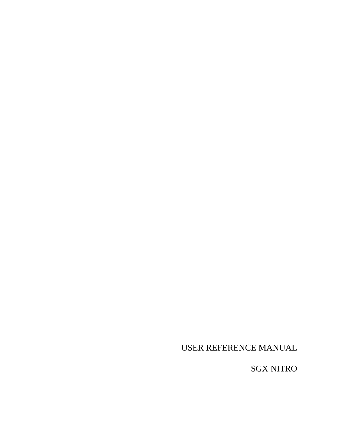USER REFERENCE MANUAL

SGX NITRO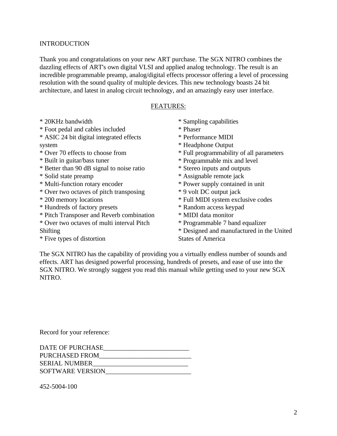#### INTRODUCTION

Thank you and congratulations on your new ART purchase. The SGX NITRO combines the dazzling effects of ART's own digital VLSI and applied analog technology. The result is an incredible programmable preamp, analog/digital effects processor offering a level of processing resolution with the sound quality of multiple devices. This new technology boasts 24 bit architecture, and latest in analog circuit technology, and an amazingly easy user interface.

#### FEATURES:

- \* 20KHz bandwidth
- \* Foot pedal and cables included
- \* ASIC 24 bit digital integrated effects system
- \* Over 70 effects to choose from
- \* Built in guitar/bass tuner
- \* Better than 90 dB signal to noise ratio
- \* Solid state preamp
- \* Multi-function rotary encoder
- \* Over two octaves of pitch transposing
- \* 200 memory locations
- \* Hundreds of factory presets
- \* Pitch Transposer and Reverb combination
- \* Over two octaves of multi interval Pitch Shifting
- \* Five types of distortion
- \* Sampling capabilities
- \* Phaser
- \* Performance MIDI
- \* Headphone Output
- \* Full programmability of all parameters
- \* Programmable mix and level
- \* Stereo inputs and outputs
- \* Assignable remote jack
- \* Power supply contained in unit
- \* 9 volt DC output jack
- \* Full MIDI system exclusive codes
- \* Random access keypad
- \* MIDI data monitor
- \* Programmable 7 band equalizer
- \* Designed and manufactured in the United States of America

The SGX NITRO has the capability of providing you a virtually endless number of sounds and effects. ART has designed powerful processing, hundreds of presets, and ease of use into the SGX NITRO. We strongly suggest you read this manual while getting used to your new SGX NITRO.

Record for your reference:

452-5004-100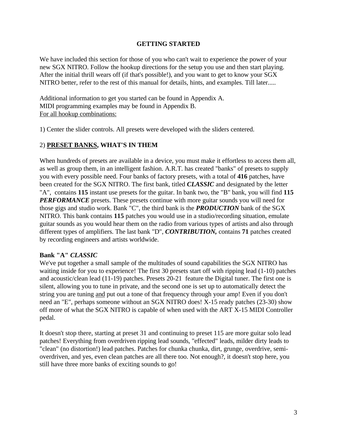#### **GETTING STARTED**

We have included this section for those of you who can't wait to experience the power of your new SGX NITRO. Follow the hookup directions for the setup you use and then start playing. After the initial thrill wears off (if that's possible!), and you want to get to know your SGX NITRO better, refer to the rest of this manual for details, hints, and examples. Till later.....

Additional information to get you started can be found in Appendix A. MIDI programming examples may be found in Appendix B. For all hookup combinations:

1) Center the slider controls. All presets were developed with the sliders centered.

# 2) **PRESET BANKS, WHAT'S IN THEM**

When hundreds of presets are available in a device, you must make it effortless to access them all, as well as group them, in an intelligent fashion. A.R.T. has created "banks" of presets to supply you with every possible need. Four banks of factory presets, with a total of **416** patches, have been created for the SGX NITRO. The first bank, titled *CLASSIC* and designated by the letter "A", contains **115** instant use presets for the guitar. In bank two, the "B" bank, you will find **115** *PERFORMANCE* presets. These presets continue with more guitar sounds you will need for those gigs and studio work. Bank "C", the third bank is the *PRODUCTION* bank of the SGX NITRO. This bank contains **115** patches you would use in a studio/recording situation, emulate guitar sounds as you would hear them on the radio from various types of artists and also through different types of amplifiers. The last bank "D", *CONTRIBUTION,* contains **71** patches created by recording engineers and artists worldwide.

#### **Bank "A"** *CLASSIC*

We've put together a small sample of the multitudes of sound capabilities the SGX NITRO has waiting inside for you to experience! The first 30 presets start off with ripping lead (1-10) patches and acoustic/clean lead (11-19) patches. Presets 20-21 feature the Digital tuner. The first one is silent, allowing you to tune in private, and the second one is set up to automatically detect the string you are tuning and put out a tone of that frequency through your amp! Even if you don't need an "E", perhaps someone without an SGX NITRO does! X-15 ready patches (23-30) show off more of what the SGX NITRO is capable of when used with the ART X-15 MIDI Controller pedal.

It doesn't stop there, starting at preset 31 and continuing to preset 115 are more guitar solo lead patches! Everything from overdriven ripping lead sounds, "effected" leads, milder dirty leads to "clean" (no distortion!) lead patches. Patches for chunka chunka, dirt, grunge, overdrive, semioverdriven, and yes, even clean patches are all there too. Not enough?, it doesn't stop here, you still have three more banks of exciting sounds to go!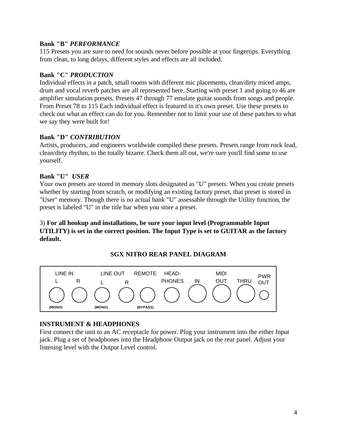#### **Bank "B"** *PERFORMANCE*

115 Presets you are sure to need for sounds never before possible at your fingertips. Everything from clean, to long delays, different styles and effects are all included.

#### **Bank "C"** *PRODUCTION*

Individual effects in a patch, small rooms with different mic placements, clean/dirty miced amps, drum and vocal reverb patches are all represented here. Starting with preset 1 and going to 46 are amplifier simulation presets. Presets 47 through 77 emulate guitar sounds from songs and people. From Preset 78 to 115 Each individual effect is featured in it's own preset. Use these presets to check out what an effect can do for you. Remember not to limit your use of these patches to what we say they were built for!

#### **Bank "D"** *CONTRIBUTION*

Artists, producers, and engineers worldwide compiled these presets. Presets range from rock lead, clean/dirty rhythm, to the totally bizarre. Check them all out, we're sure you'll find some to use yourself.

#### **Bank "U"** *USER*

Your own presets are stored in memory slots designated as "U" presets. When you create presets whether by starting from scratch, or modifying an existing factory preset, that preset is stored in "User" memory. Though there is no actual bank "U" assessable through the Utility function, the preset is labeled "U" in the title bar when you store a preset.

#### 3) **For all hookup and installations, be sure your input level (Programmable Input UTILITY) is set in the correct position. The Input Type is set to GUITAR as the factory default.**

## **SGX NITRO REAR PANEL DIAGRAM**



## **INSTRUMENT & HEADPHONES**

First connect the unit to an AC receptacle for power. Plug your instrument into the either Input jack. Plug a set of headphones into the Headphone Output jack on the rear panel. Adjust your listening level with the Output Level control.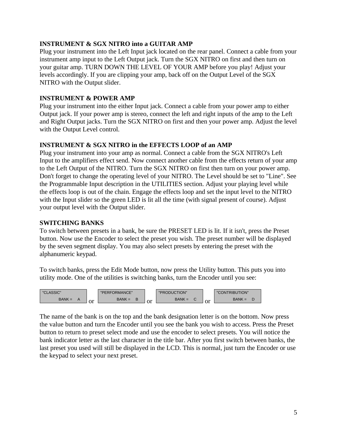## **INSTRUMENT & SGX NITRO into a GUITAR AMP**

Plug your instrument into the Left Input jack located on the rear panel. Connect a cable from your instrument amp input to the Left Output jack. Turn the SGX NITRO on first and then turn on your guitar amp. TURN DOWN THE LEVEL OF YOUR AMP before you play! Adjust your levels accordingly. If you are clipping your amp, back off on the Output Level of the SGX NITRO with the Output slider.

## **INSTRUMENT & POWER AMP**

Plug your instrument into the either Input jack. Connect a cable from your power amp to either Output jack. If your power amp is stereo, connect the left and right inputs of the amp to the Left and Right Output jacks. Turn the SGX NITRO on first and then your power amp. Adjust the level with the Output Level control.

# **INSTRUMENT & SGX NITRO in the EFFECTS LOOP of an AMP**

Plug your instrument into your amp as normal. Connect a cable from the SGX NITRO's Left Input to the amplifiers effect send. Now connect another cable from the effects return of your amp to the Left Output of the NITRO. Turn the SGX NITRO on first then turn on your power amp. Don't forget to change the operating level of your NITRO. The Level should be set to "Line". See the Programmable Input description in the UTILITIES section. Adjust your playing level while the effects loop is out of the chain. Engage the effects loop and set the input level to the NITRO with the Input slider so the green LED is lit all the time (with signal present of course). Adjust your output level with the Output slider.

# **SWITCHING BANKS**

To switch between presets in a bank, be sure the PRESET LED is lit. If it isn't, press the Preset button. Now use the Encoder to select the preset you wish. The preset number will be displayed by the seven segment display. You may also select presets by entering the preset with the alphanumeric keypad.

To switch banks, press the Edit Mode button, now press the Utility button. This puts you into utility mode. One of the utilities is switching banks, turn the Encoder until you see:



The name of the bank is on the top and the bank designation letter is on the bottom. Now press the value button and turn the Encoder until you see the bank you wish to access. Press the Preset button to return to preset select mode and use the encoder to select presets. You will notice the bank indicator letter as the last character in the title bar. After you first switch between banks, the last preset you used will still be displayed in the LCD. This is normal, just turn the Encoder or use the keypad to select your next preset.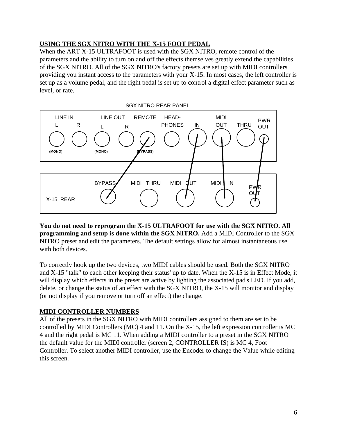# **USING THE SGX NITRO WITH THE X-15 FOOT PEDAL**

When the ART X-15 ULTRAFOOT is used with the SGX NITRO, remote control of the parameters and the ability to turn on and off the effects themselves greatly extend the capabilities of the SGX NITRO. All of the SGX NITRO's factory presets are set up with MIDI controllers providing you instant access to the parameters with your X-15. In most cases, the left controller is set up as a volume pedal, and the right pedal is set up to control a digital effect parameter such as level, or rate.



**You do not need to reprogram the X-15 ULTRAFOOT for use with the SGX NITRO. All programming and setup is done within the SGX NITRO.** Add a MIDI Controller to the SGX NITRO preset and edit the parameters. The default settings allow for almost instantaneous use with both devices.

To correctly hook up the two devices, two MIDI cables should be used. Both the SGX NITRO and X-15 "talk" to each other keeping their status' up to date. When the X-15 is in Effect Mode, it will display which effects in the preset are active by lighting the associated pad's LED. If you add, delete, or change the status of an effect with the SGX NITRO, the X-15 will monitor and display (or not display if you remove or turn off an effect) the change.

# **MIDI CONTROLLER NUMBERS**

All of the presets in the SGX NITRO with MIDI controllers assigned to them are set to be controlled by MIDI Controllers (MC) 4 and 11. On the X-15, the left expression controller is MC 4 and the right pedal is MC 11. When adding a MIDI controller to a preset in the SGX NITRO the default value for the MIDI controller (screen 2, CONTROLLER IS) is MC 4, Foot Controller. To select another MIDI controller, use the Encoder to change the Value while editing this screen.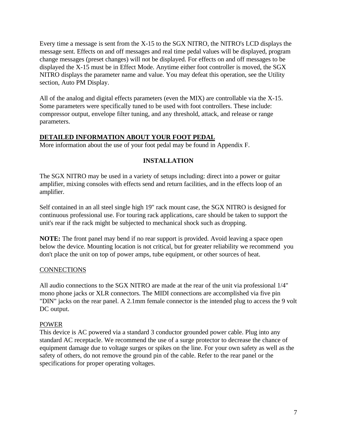Every time a message is sent from the X-15 to the SGX NITRO, the NITRO's LCD displays the message sent. Effects on and off messages and real time pedal values will be displayed, program change messages (preset changes) will not be displayed. For effects on and off messages to be displayed the X-15 must be in Effect Mode. Anytime either foot controller is moved, the SGX NITRO displays the parameter name and value. You may defeat this operation, see the Utility section, Auto PM Display.

All of the analog and digital effects parameters (even the MIX) are controllable via the X-15. Some parameters were specifically tuned to be used with foot controllers. These include: compressor output, envelope filter tuning, and any threshold, attack, and release or range parameters.

## **DETAILED INFORMATION ABOUT YOUR FOOT PEDAL**

More information about the use of your foot pedal may be found in Appendix F.

## **INSTALLATION**

The SGX NITRO may be used in a variety of setups including: direct into a power or guitar amplifier, mixing consoles with effects send and return facilities, and in the effects loop of an amplifier.

Self contained in an all steel single high 19" rack mount case, the SGX NITRO is designed for continuous professional use. For touring rack applications, care should be taken to support the unit's rear if the rack might be subjected to mechanical shock such as dropping.

**NOTE:** The front panel may bend if no rear support is provided. Avoid leaving a space open below the device. Mounting location is not critical, but for greater reliability we recommend you don't place the unit on top of power amps, tube equipment, or other sources of heat.

## **CONNECTIONS**

All audio connections to the SGX NITRO are made at the rear of the unit via professional 1/4" mono phone jacks or XLR connectors. The MIDI connections are accomplished via five pin "DIN" jacks on the rear panel. A 2.1mm female connector is the intended plug to access the 9 volt DC output.

#### POWER

This device is AC powered via a standard 3 conductor grounded power cable. Plug into any standard AC receptacle. We recommend the use of a surge protector to decrease the chance of equipment damage due to voltage surges or spikes on the line. For your own safety as well as the safety of others, do not remove the ground pin of the cable. Refer to the rear panel or the specifications for proper operating voltages.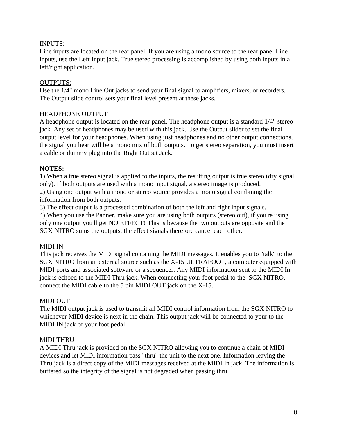## INPUTS:

Line inputs are located on the rear panel. If you are using a mono source to the rear panel Line inputs, use the Left Input jack. True stereo processing is accomplished by using both inputs in a left/right application.

## OUTPUTS:

Use the 1/4" mono Line Out jacks to send your final signal to amplifiers, mixers, or recorders. The Output slide control sets your final level present at these jacks.

## HEADPHONE OUTPUT

A headphone output is located on the rear panel. The headphone output is a standard 1/4" stereo jack. Any set of headphones may be used with this jack. Use the Output slider to set the final output level for your headphones. When using just headphones and no other output connections, the signal you hear will be a mono mix of both outputs. To get stereo separation, you must insert a cable or dummy plug into the Right Output Jack.

# **NOTES:**

1) When a true stereo signal is applied to the inputs, the resulting output is true stereo (dry signal only). If both outputs are used with a mono input signal, a stereo image is produced.

2) Using one output with a mono or stereo source provides a mono signal combining the information from both outputs.

3) The effect output is a processed combination of both the left and right input signals.

4) When you use the Panner, make sure you are using both outputs (stereo out), if you're using only one output you'll get NO EFFECT! This is because the two outputs are opposite and the SGX NITRO sums the outputs, the effect signals therefore cancel each other.

# MIDI IN

This jack receives the MIDI signal containing the MIDI messages. It enables you to "talk" to the SGX NITRO from an external source such as the X-15 ULTRAFOOT, a computer equipped with MIDI ports and associated software or a sequencer. Any MIDI information sent to the MIDI In jack is echoed to the MIDI Thru jack. When connecting your foot pedal to the SGX NITRO, connect the MIDI cable to the 5 pin MIDI OUT jack on the X-15.

## MIDI OUT

The MIDI output jack is used to transmit all MIDI control information from the SGX NITRO to whichever MIDI device is next in the chain. This output jack will be connected to your to the MIDI IN jack of your foot pedal.

## MIDI THRU

A MIDI Thru jack is provided on the SGX NITRO allowing you to continue a chain of MIDI devices and let MIDI information pass "thru" the unit to the next one. Information leaving the Thru jack is a direct copy of the MIDI messages received at the MIDI In jack. The information is buffered so the integrity of the signal is not degraded when passing thru.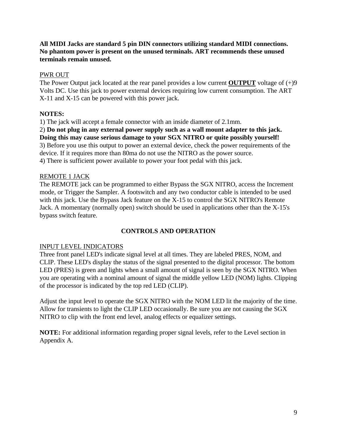## **All MIDI Jacks are standard 5 pin DIN connectors utilizing standard MIDI connections. No phantom power is present on the unused terminals. ART recommends these unused terminals remain unused.**

## PWR OUT

The Power Output jack located at the rear panel provides a low current **OUTPUT** voltage of  $(+)9$ Volts DC. Use this jack to power external devices requiring low current consumption. The ART X-11 and X-15 can be powered with this power jack.

# **NOTES:**

1) The jack will accept a female connector with an inside diameter of 2.1mm.

2) **Do not plug in any external power supply such as a wall mount adapter to this jack. Doing this may cause serious damage to your SGX NITRO or quite possibly yourself!** 3) Before you use this output to power an external device, check the power requirements of the device. If it requires more than 80ma do not use the NITRO as the power source. 4) There is sufficient power available to power your foot pedal with this jack.

## REMOTE 1 JACK

The REMOTE jack can be programmed to either Bypass the SGX NITRO, access the Increment mode, or Trigger the Sampler. A footswitch and any two conductor cable is intended to be used with this jack. Use the Bypass Jack feature on the X-15 to control the SGX NITRO's Remote Jack. A momentary (normally open) switch should be used in applications other than the X-15's bypass switch feature.

## **CONTROLS AND OPERATION**

## INPUT LEVEL INDICATORS

Three front panel LED's indicate signal level at all times. They are labeled PRES, NOM, and CLIP. These LED's display the status of the signal presented to the digital processor. The bottom LED (PRES) is green and lights when a small amount of signal is seen by the SGX NITRO. When you are operating with a nominal amount of signal the middle yellow LED (NOM) lights. Clipping of the processor is indicated by the top red LED (CLIP).

Adjust the input level to operate the SGX NITRO with the NOM LED lit the majority of the time. Allow for transients to light the CLIP LED occasionally. Be sure you are not causing the SGX NITRO to clip with the front end level, analog effects or equalizer settings.

**NOTE:** For additional information regarding proper signal levels, refer to the Level section in Appendix A.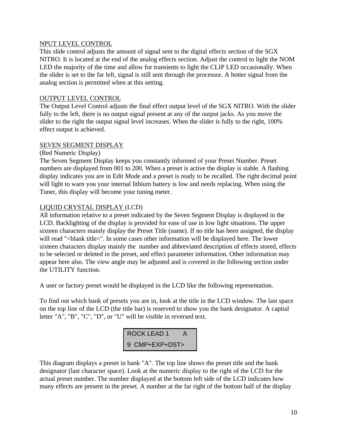#### NPUT LEVEL CONTROL

This slide control adjusts the amount of signal sent to the digital effects section of the SGX NITRO. It is located at the end of the analog effects section. Adjust the control to light the NOM LED the majority of the time and allow for transients to light the CLIP LED occasionally. When the slider is set to the far left, signal is still sent through the processor. A hotter signal from the analog section is permitted when at this setting.

## OUTPUT LEVEL CONTROL

The Output Level Control adjusts the final effect output level of the SGX NITRO. With the slider fully to the left, there is no output signal present at any of the output jacks. As you move the slider to the right the output signal level increases. When the slider is fully to the right, 100% effect output is achieved.

## SEVEN SEGMENT DISPLAY

#### (Red Numeric Display)

The Seven Segment Display keeps you constantly informed of your Preset Number. Preset numbers are displayed from 001 to 200. When a preset is active the display is stable. A flashing display indicates you are in Edit Mode and a preset is ready to be recalled. The right decimal point will light to warn you your internal lithium battery is low and needs replacing. When using the Tuner, this display will become your tuning meter.

## LIQUID CRYSTAL DISPLAY (LCD)

All information relative to a preset indicated by the Seven Segment Display is displayed in the LCD. Backlighting of the display is provided for ease of use in low light situations. The upper sixteen characters mainly display the Preset Title (name). If no title has been assigned, the display will read "<br/>blank title>". In some cases other information will be displayed here. The lower sixteen characters display mainly the number and abbreviated description of effects stored, effects to be selected or deleted in the preset, and effect parameter information. Other information may appear here also. The view angle may be adjusted and is covered in the following section under the UTILITY function.

A user or factory preset would be displayed in the LCD like the following representation.

To find out which bank of presets you are in, look at the title in the LCD window. The last space on the top line of the LCD (the title bar) is reserved to show you the bank designator. A capital letter "A", "B", "C", "D", or "U" will be visible in reversed text.



This diagram displays a preset in bank "A". The top line shows the preset title and the bank designator (last character space). Look at the numeric display to the right of the LCD for the actual preset number. The number displayed at the bottom left side of the LCD indicates how many effects are present in the preset. A number at the far right of the bottom half of the display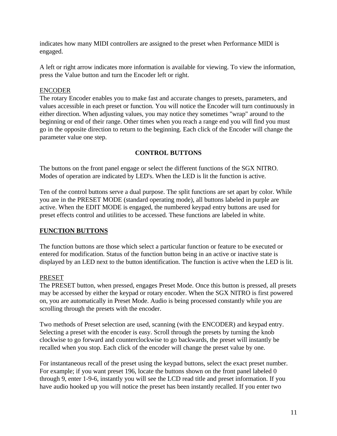indicates how many MIDI controllers are assigned to the preset when Performance MIDI is engaged.

A left or right arrow indicates more information is available for viewing. To view the information, press the Value button and turn the Encoder left or right.

#### ENCODER

The rotary Encoder enables you to make fast and accurate changes to presets, parameters, and values accessible in each preset or function. You will notice the Encoder will turn continuously in either direction. When adjusting values, you may notice they sometimes "wrap" around to the beginning or end of their range. Other times when you reach a range end you will find you must go in the opposite direction to return to the beginning. Each click of the Encoder will change the parameter value one step.

## **CONTROL BUTTONS**

The buttons on the front panel engage or select the different functions of the SGX NITRO. Modes of operation are indicated by LED's. When the LED is lit the function is active.

Ten of the control buttons serve a dual purpose. The split functions are set apart by color. While you are in the PRESET MODE (standard operating mode), all buttons labeled in purple are active. When the EDIT MODE is engaged, the numbered keypad entry buttons are used for preset effects control and utilities to be accessed. These functions are labeled in white.

## **FUNCTION BUTTONS**

The function buttons are those which select a particular function or feature to be executed or entered for modification. Status of the function button being in an active or inactive state is displayed by an LED next to the button identification. The function is active when the LED is lit.

## PRESET

The PRESET button, when pressed, engages Preset Mode. Once this button is pressed, all presets may be accessed by either the keypad or rotary encoder. When the SGX NITRO is first powered on, you are automatically in Preset Mode. Audio is being processed constantly while you are scrolling through the presets with the encoder.

Two methods of Preset selection are used, scanning (with the ENCODER) and keypad entry. Selecting a preset with the encoder is easy. Scroll through the presets by turning the knob clockwise to go forward and counterclockwise to go backwards, the preset will instantly be recalled when you stop. Each click of the encoder will change the preset value by one.

For instantaneous recall of the preset using the keypad buttons, select the exact preset number. For example; if you want preset 196, locate the buttons shown on the front panel labeled 0 through 9, enter 1-9-6, instantly you will see the LCD read title and preset information. If you have audio hooked up you will notice the preset has been instantly recalled. If you enter two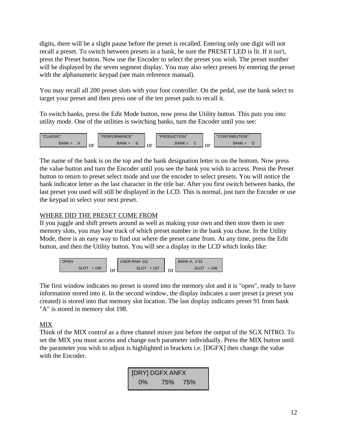digits, there will be a slight pause before the preset is recalled. Entering only one digit will not recall a preset. To switch between presets in a bank, be sure the PRESET LED is lit. If it isn't, press the Preset button. Now use the Encoder to select the preset you wish. The preset number will be displayed by the seven segment display. You may also select presets by entering the preset with the alphanumeric keypad (see main reference manual).

You may recall all 200 preset slots with your foot controller. On the pedal, use the bank select to target your preset and then press one of the ten preset pads to recall it.

To switch banks, press the Edit Mode button, now press the Utility button. This puts you into utility mode. One of the utilities is switching banks, turn the Encoder until you see:



The name of the bank is on the top and the bank designation letter is on the bottom. Now press the value button and turn the Encoder until you see the bank you wish to access. Press the Preset button to return to preset select mode and use the encoder to select presets. You will notice the bank indicator letter as the last character in the title bar. After you first switch between banks, the last preset you used will still be displayed in the LCD. This is normal, just turn the Encoder or use the keypad to select your next preset.

# WHERE DID THE PRESET COME FROM

If you juggle and shift presets around as well as making your own and then store them in user memory slots, you may lose track of which preset number in the bank you chose. In the Utility Mode, there is an easy way to find out where the preset came from. At any time, press the Edit button, and then the Utility button. You will see a display in the LCD which looks like:



The first window indicates no preset is stored into the memory slot and it is "open", ready to have information stored into it. In the second window, the display indicates a user preset (a preset you created) is stored into that memory slot location. The last display indicates preset 91 from bank "A" is stored in memory slot 198.

# MIX

Think of the MIX control as a three channel mixer just before the output of the SGX NITRO. To set the MIX you must access and change each parameter individually. Press the MIX button until the parameter you wish to adjust is highlighted in brackets i.e. [DGFX] then change the value with the Encoder.

| <b>[DRY] DGFX ANFX</b> |         |  |  |  |  |
|------------------------|---------|--|--|--|--|
| $0\%$                  | 75% 75% |  |  |  |  |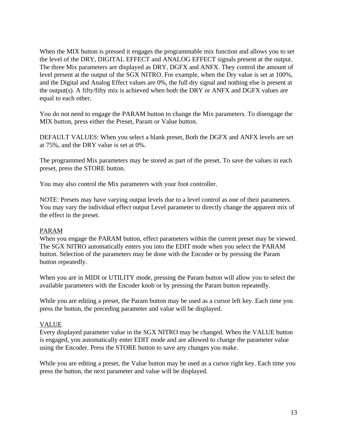When the MIX button is pressed it engages the programmable mix function and allows you to set the level of the DRY, DIGITAL EFFECT and ANALOG EFFECT signals present at the output. The three Mix parameters are displayed as DRY, DGFX and ANFX. They control the amount of level present at the output of the SGX NITRO. For example, when the Dry value is set at 100%, and the Digital and Analog Effect values are 0%, the full dry signal and nothing else is present at the output(s). A fifty/fifty mix is achieved when both the DRY or ANFX and DGFX values are equal to each other.

You do not need to engage the PARAM button to change the Mix parameters. To disengage the MIX button, press either the Preset, Param or Value button.

DEFAULT VALUES: When you select a blank preset, Both the DGFX and ANFX levels are set at 75%, and the DRY value is set at 0%.

The programmed Mix parameters may be stored as part of the preset. To save the values in each preset, press the STORE button.

You may also control the Mix parameters with your foot controller.

NOTE: Presets may have varying output levels due to a level control as one of their parameters. You may vary the individual effect output Level parameter to directly change the apparent mix of the effect in the preset.

#### PARAM

When you engage the PARAM button, effect parameters within the current preset may be viewed. The SGX NITRO automatically enters you into the EDIT mode when you select the PARAM button. Selection of the parameters may be done with the Encoder or by pressing the Param button repeatedly.

When you are in MIDI or UTILITY mode, pressing the Param button will allow you to select the available parameters with the Encoder knob or by pressing the Param button repeatedly.

While you are editing a preset, the Param button may be used as a cursor left key. Each time you press the button, the preceding parameter and value will be displayed.

## VALUE

Every displayed parameter value in the SGX NITRO may be changed. When the VALUE button is engaged, you automatically enter EDIT mode and are allowed to change the parameter value using the Encoder. Press the STORE button to save any changes you make.

While you are editing a preset, the Value button may be used as a cursor right key. Each time you press the button, the next parameter and value will be displayed.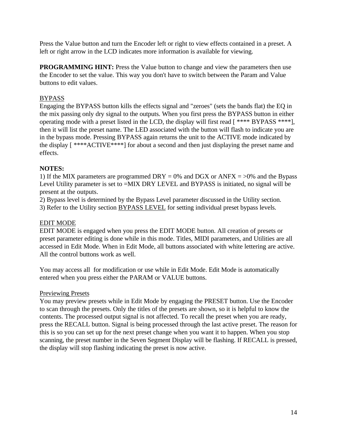Press the Value button and turn the Encoder left or right to view effects contained in a preset. A left or right arrow in the LCD indicates more information is available for viewing.

**PROGRAMMING HINT:** Press the Value button to change and view the parameters then use the Encoder to set the value. This way you don't have to switch between the Param and Value buttons to edit values.

#### BYPASS

Engaging the BYPASS button kills the effects signal and "zeroes" (sets the bands flat) the EQ in the mix passing only dry signal to the outputs. When you first press the BYPASS button in either operating mode with a preset listed in the LCD, the display will first read [ \*\*\*\* BYPASS \*\*\*\*], then it will list the preset name. The LED associated with the button will flash to indicate you are in the bypass mode. Pressing BYPASS again returns the unit to the ACTIVE mode indicated by the display [ \*\*\*\*ACTIVE\*\*\*\*] for about a second and then just displaying the preset name and effects.

#### **NOTES:**

1) If the MIX parameters are programmed DRY = 0% and DGX or ANFX =  $>0\%$  and the Bypass Level Utility parameter is set to =MIX DRY LEVEL and BYPASS is initiated, no signal will be present at the outputs.

2) Bypass level is determined by the Bypass Level parameter discussed in the Utility section.

3) Refer to the Utility section BYPASS LEVEL for setting individual preset bypass levels.

#### EDIT MODE

EDIT MODE is engaged when you press the EDIT MODE button. All creation of presets or preset parameter editing is done while in this mode. Titles, MIDI parameters, and Utilities are all accessed in Edit Mode. When in Edit Mode, all buttons associated with white lettering are active. All the control buttons work as well.

You may access all for modification or use while in Edit Mode. Edit Mode is automatically entered when you press either the PARAM or VALUE buttons.

#### Previewing Presets

You may preview presets while in Edit Mode by engaging the PRESET button. Use the Encoder to scan through the presets. Only the titles of the presets are shown, so it is helpful to know the contents. The processed output signal is not affected. To recall the preset when you are ready, press the RECALL button. Signal is being processed through the last active preset. The reason for this is so you can set up for the next preset change when you want it to happen. When you stop scanning, the preset number in the Seven Segment Display will be flashing. If RECALL is pressed, the display will stop flashing indicating the preset is now active.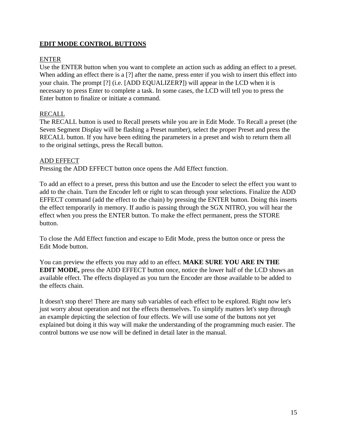# **EDIT MODE CONTROL BUTTONS**

## ENTER

Use the ENTER button when you want to complete an action such as adding an effect to a preset. When adding an effect there is a [?] after the name, press enter if you wish to insert this effect into your chain. The prompt [?] (i.e. [ADD EQUALIZER**?**]) will appear in the LCD when it is necessary to press Enter to complete a task. In some cases, the LCD will tell you to press the Enter button to finalize or initiate a command.

# RECALL

The RECALL button is used to Recall presets while you are in Edit Mode. To Recall a preset (the Seven Segment Display will be flashing a Preset number), select the proper Preset and press the RECALL button. If you have been editing the parameters in a preset and wish to return them all to the original settings, press the Recall button.

#### ADD EFFECT

Pressing the ADD EFFECT button once opens the Add Effect function.

To add an effect to a preset, press this button and use the Encoder to select the effect you want to add to the chain. Turn the Encoder left or right to scan through your selections. Finalize the ADD EFFECT command (add the effect to the chain) by pressing the ENTER button. Doing this inserts the effect temporarily in memory. If audio is passing through the SGX NITRO, you will hear the effect when you press the ENTER button. To make the effect permanent, press the STORE button.

To close the Add Effect function and escape to Edit Mode, press the button once or press the Edit Mode button.

You can preview the effects you may add to an effect. **MAKE SURE YOU ARE IN THE EDIT MODE,** press the ADD EFFECT button once, notice the lower half of the LCD shows an available effect. The effects displayed as you turn the Encoder are those available to be added to the effects chain.

It doesn't stop there! There are many sub variables of each effect to be explored. Right now let's just worry about operation and not the effects themselves. To simplify matters let's step through an example depicting the selection of four effects. We will use some of the buttons not yet explained but doing it this way will make the understanding of the programming much easier. The control buttons we use now will be defined in detail later in the manual.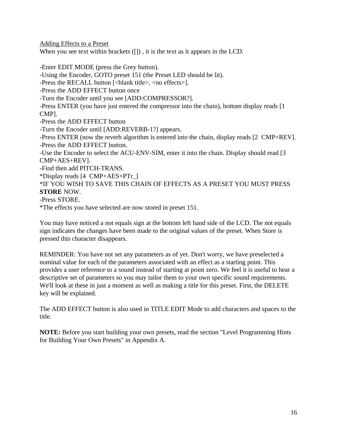Adding Effects to a Preset

When you see text within brackets  $($ []), it is the text as it appears in the LCD.

-Enter EDIT MODE (press the Grey button). -Using the Encoder, GOTO preset 151 (the Preset LED should be lit). -Press the RECALL button [<blank title>, <no effects>]. -Press the ADD EFFECT button once -Turn the Encoder until you see [ADD:COMPRESSOR?]. -Press ENTER (you have just entered the compressor into the chain), bottom display reads [1 CMP]. -Press the ADD EFFECT button -Turn the Encoder until [ADD:REVERB-1?] appears. -Press ENTER (now the reverb algorithm is entered into the chain, display reads [2 CMP+REV]. -Press the ADD EFFECT button. -Use the Encoder to select the ACU-ENV-SIM, enter it into the chain. Display should read [3 CMP+AES+REV]. -Find then add PITCH-TRANS. \*Display reads [4 CMP+AES+PTr\_] \*IF YOU WISH TO SAVE THIS CHAIN OF EFFECTS AS A PRESET YOU MUST PRESS **STORE** NOW. -Press STORE. \*The effects you have selected are now stored in preset 151.

You may have noticed a not equals sign at the bottom left hand side of the LCD. The not equals sign indicates the changes have been made to the original values of the preset. When Store is pressed this character disappears.

REMINDER: You have not set any parameters as of yet. Don't worry, we have preselected a nominal value for each of the parameters associated with an effect as a starting point. This provides a user reference to a sound instead of starting at point zero. We feel it is useful to hear a descriptive set of parameters so you may tailor them to your own specific sound requirements. We'll look at these in just a moment as well as making a title for this preset. First, the DELETE key will be explained.

The ADD EFFECT button is also used in TITLE EDIT Mode to add characters and spaces to the title.

**NOTE:** Before you start building your own presets, read the section "Level Programming Hints for Building Your Own Presets" in Appendix A.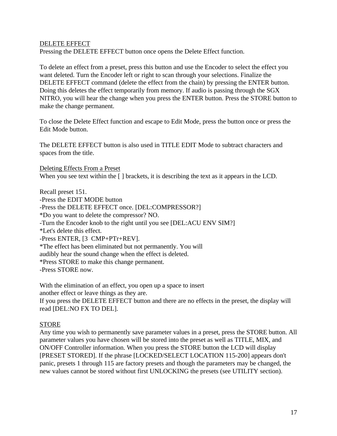#### DELETE EFFECT

Pressing the DELETE EFFECT button once opens the Delete Effect function.

To delete an effect from a preset, press this button and use the Encoder to select the effect you want deleted. Turn the Encoder left or right to scan through your selections. Finalize the DELETE EFFECT command (delete the effect from the chain) by pressing the ENTER button. Doing this deletes the effect temporarily from memory. If audio is passing through the SGX NITRO, you will hear the change when you press the ENTER button. Press the STORE button to make the change permanent.

To close the Delete Effect function and escape to Edit Mode, press the button once or press the Edit Mode button.

The DELETE EFFECT button is also used in TITLE EDIT Mode to subtract characters and spaces from the title.

Deleting Effects From a Preset When you see text within the  $\lceil \cdot \rceil$  brackets, it is describing the text as it appears in the LCD.

Recall preset 151. -Press the EDIT MODE button -Press the DELETE EFFECT once. [DEL:COMPRESSOR?] \*Do you want to delete the compressor? NO. -Turn the Encoder knob to the right until you see [DEL:ACU ENV SIM?] \*Let's delete this effect. -Press ENTER, [3 CMP+PTr+REV]. \*The effect has been eliminated but not permanently. You will audibly hear the sound change when the effect is deleted. \*Press STORE to make this change permanent. -Press STORE now.

With the elimination of an effect, you open up a space to insert another effect or leave things as they are. If you press the DELETE EFFECT button and there are no effects in the preset, the display will read [DEL:NO FX TO DEL].

## STORE

Any time you wish to permanently save parameter values in a preset, press the STORE button. All parameter values you have chosen will be stored into the preset as well as TITLE, MIX, and ON/OFF Controller information. When you press the STORE button the LCD will display [PRESET STORED]. If the phrase [LOCKED/SELECT LOCATION 115-200] appears don't panic, presets 1 through 115 are factory presets and though the parameters may be changed, the new values cannot be stored without first UNLOCKING the presets (see UTILITY section).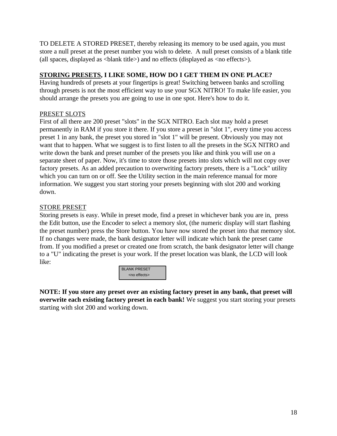TO DELETE A STORED PRESET, thereby releasing its memory to be used again, you must store a null preset at the preset number you wish to delete. A null preset consists of a blank title (all spaces, displayed as  $\langle$ blank title $\rangle$ ) and no effects (displayed as  $\langle$ no effects $\rangle$ ).

# **STORING PRESETS, I LIKE SOME, HOW DO I GET THEM IN ONE PLACE?**

Having hundreds of presets at your fingertips is great! Switching between banks and scrolling through presets is not the most efficient way to use your SGX NITRO! To make life easier, you should arrange the presets you are going to use in one spot. Here's how to do it.

# PRESET SLOTS

First of all there are 200 preset "slots" in the SGX NITRO. Each slot may hold a preset permanently in RAM if you store it there. If you store a preset in "slot 1", every time you access preset 1 in any bank, the preset you stored in "slot 1" will be present. Obviously you may not want that to happen. What we suggest is to first listen to all the presets in the SGX NITRO and write down the bank and preset number of the presets you like and think you will use on a separate sheet of paper. Now, it's time to store those presets into slots which will not copy over factory presets. As an added precaution to overwriting factory presets, there is a "Lock" utility which you can turn on or off. See the Utility section in the main reference manual for more information. We suggest you start storing your presets beginning with slot 200 and working down.

## STORE PRESET

Storing presets is easy. While in preset mode, find a preset in whichever bank you are in, press the Edit button, use the Encoder to select a memory slot, (the numeric display will start flashing the preset number) press the Store button. You have now stored the preset into that memory slot. If no changes were made, the bank designator letter will indicate which bank the preset came from. If you modified a preset or created one from scratch, the bank designator letter will change to a "U" indicating the preset is your work. If the preset location was blank, the LCD will look like:



**NOTE: If you store any preset over an existing factory preset in any bank, that preset will overwrite each existing factory preset in each bank!** We suggest you start storing your presets starting with slot 200 and working down.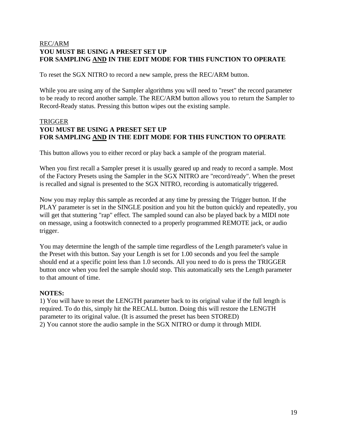## REC/ARM **YOU MUST BE USING A PRESET SET UP FOR SAMPLING AND IN THE EDIT MODE FOR THIS FUNCTION TO OPERATE**

To reset the SGX NITRO to record a new sample, press the REC/ARM button.

While you are using any of the Sampler algorithms you will need to "reset" the record parameter to be ready to record another sample. The REC/ARM button allows you to return the Sampler to Record-Ready status. Pressing this button wipes out the existing sample.

# TRIGGER **YOU MUST BE USING A PRESET SET UP FOR SAMPLING AND IN THE EDIT MODE FOR THIS FUNCTION TO OPERATE**

This button allows you to either record or play back a sample of the program material.

When you first recall a Sampler preset it is usually geared up and ready to record a sample. Most of the Factory Presets using the Sampler in the SGX NITRO are "record/ready". When the preset is recalled and signal is presented to the SGX NITRO, recording is automatically triggered.

Now you may replay this sample as recorded at any time by pressing the Trigger button. If the PLAY parameter is set in the SINGLE position and you hit the button quickly and repeatedly, you will get that stuttering "rap" effect. The sampled sound can also be played back by a MIDI note on message, using a footswitch connected to a properly programmed REMOTE jack, or audio trigger.

You may determine the length of the sample time regardless of the Length parameter's value in the Preset with this button. Say your Length is set for 1.00 seconds and you feel the sample should end at a specific point less than 1.0 seconds. All you need to do is press the TRIGGER button once when you feel the sample should stop. This automatically sets the Length parameter to that amount of time.

## **NOTES:**

1) You will have to reset the LENGTH parameter back to its original value if the full length is required. To do this, simply hit the RECALL button. Doing this will restore the LENGTH parameter to its original value. (It is assumed the preset has been STORED) 2) You cannot store the audio sample in the SGX NITRO or dump it through MIDI.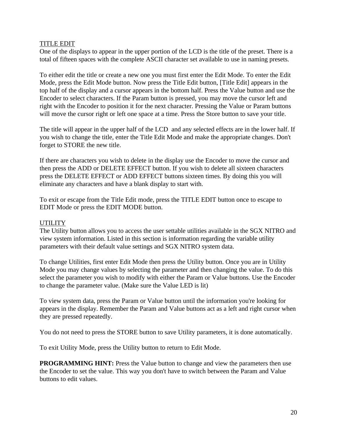#### TITLE EDIT

One of the displays to appear in the upper portion of the LCD is the title of the preset. There is a total of fifteen spaces with the complete ASCII character set available to use in naming presets.

To either edit the title or create a new one you must first enter the Edit Mode. To enter the Edit Mode, press the Edit Mode button. Now press the Title Edit button, [Title Edit] appears in the top half of the display and a cursor appears in the bottom half. Press the Value button and use the Encoder to select characters. If the Param button is pressed, you may move the cursor left and right with the Encoder to position it for the next character. Pressing the Value or Param buttons will move the cursor right or left one space at a time. Press the Store button to save your title.

The title will appear in the upper half of the LCD and any selected effects are in the lower half. If you wish to change the title, enter the Title Edit Mode and make the appropriate changes. Don't forget to STORE the new title.

If there are characters you wish to delete in the display use the Encoder to move the cursor and then press the ADD or DELETE EFFECT button. If you wish to delete all sixteen characters press the DELETE EFFECT or ADD EFFECT buttons sixteen times. By doing this you will eliminate any characters and have a blank display to start with.

To exit or escape from the Title Edit mode, press the TITLE EDIT button once to escape to EDIT Mode or press the EDIT MODE button.

#### **UTILITY**

The Utility button allows you to access the user settable utilities available in the SGX NITRO and view system information. Listed in this section is information regarding the variable utility parameters with their default value settings and SGX NITRO system data.

To change Utilities, first enter Edit Mode then press the Utility button. Once you are in Utility Mode you may change values by selecting the parameter and then changing the value. To do this select the parameter you wish to modify with either the Param or Value buttons. Use the Encoder to change the parameter value. (Make sure the Value LED is lit)

To view system data, press the Param or Value button until the information you're looking for appears in the display. Remember the Param and Value buttons act as a left and right cursor when they are pressed repeatedly.

You do not need to press the STORE button to save Utility parameters, it is done automatically.

To exit Utility Mode, press the Utility button to return to Edit Mode.

**PROGRAMMING HINT:** Press the Value button to change and view the parameters then use the Encoder to set the value. This way you don't have to switch between the Param and Value buttons to edit values.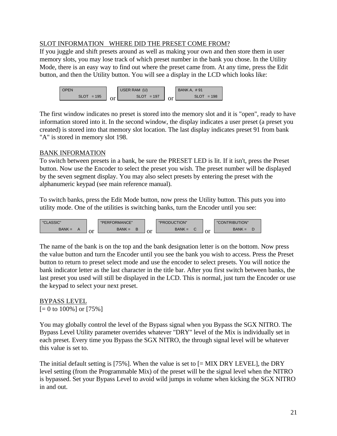## SLOT INFORMATION WHERE DID THE PRESET COME FROM?

If you juggle and shift presets around as well as making your own and then store them in user memory slots, you may lose track of which preset number in the bank you chose. In the Utility Mode, there is an easy way to find out where the preset came from. At any time, press the Edit button, and then the Utility button. You will see a display in the LCD which looks like:



The first window indicates no preset is stored into the memory slot and it is "open", ready to have information stored into it. In the second window, the display indicates a user preset (a preset you created) is stored into that memory slot location. The last display indicates preset 91 from bank "A" is stored in memory slot 198.

# BANK INFORMATION

To switch between presets in a bank, be sure the PRESET LED is lit. If it isn't, press the Preset button. Now use the Encoder to select the preset you wish. The preset number will be displayed by the seven segment display. You may also select presets by entering the preset with the alphanumeric keypad (see main reference manual).

To switch banks, press the Edit Mode button, now press the Utility button. This puts you into utility mode. One of the utilities is switching banks, turn the Encoder until you see:



The name of the bank is on the top and the bank designation letter is on the bottom. Now press the value button and turn the Encoder until you see the bank you wish to access. Press the Preset button to return to preset select mode and use the encoder to select presets. You will notice the bank indicator letter as the last character in the title bar. After you first switch between banks, the last preset you used will still be displayed in the LCD. This is normal, just turn the Encoder or use the keypad to select your next preset.

#### BYPASS LEVEL  $[= 0 \text{ to } 100\%]$  or  $[75\%]$

You may globally control the level of the Bypass signal when you Bypass the SGX NITRO. The Bypass Level Utility parameter overrides whatever "DRY" level of the Mix is individually set in each preset. Every time you Bypass the SGX NITRO, the through signal level will be whatever this value is set to.

The initial default setting is [75%]. When the value is set to [= MIX DRY LEVEL], the DRY level setting (from the Programmable Mix) of the preset will be the signal level when the NITRO is bypassed. Set your Bypass Level to avoid wild jumps in volume when kicking the SGX NITRO in and out.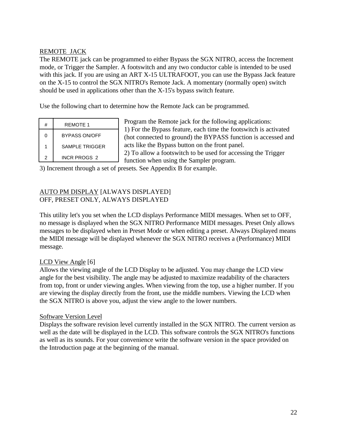# REMOTE JACK

The REMOTE jack can be programmed to either Bypass the SGX NITRO, access the Increment mode, or Trigger the Sampler. A footswitch and any two conductor cable is intended to be used with this jack. If you are using an ART X-15 ULTRAFOOT, you can use the Bypass Jack feature on the X-15 to control the SGX NITRO's Remote Jack. A momentary (normally open) switch should be used in applications other than the X-15's bypass switch feature.

Use the following chart to determine how the Remote Jack can be programmed.

| # | <b>REMOTE 1</b>      |
|---|----------------------|
| 0 | <b>BYPASS ON/OFF</b> |
|   | SAMPLE TRIGGFR       |
| 2 | INCR PROGS 2         |

Program the Remote jack for the following applications: 1) For the Bypass feature, each time the footswitch is activated (hot connected to ground) the BYPASS function is accessed and acts like the Bypass button on the front panel. 2) To allow a footswitch to be used for accessing the Trigger function when using the Sampler program.

3) Increment through a set of presets. See Appendix B for example.

# AUTO PM DISPLAY [ALWAYS DISPLAYED] OFF, PRESET ONLY, ALWAYS DISPLAYED

This utility let's you set when the LCD displays Performance MIDI messages. When set to OFF, no message is displayed when the SGX NITRO Performance MIDI messages. Preset Only allows messages to be displayed when in Preset Mode or when editing a preset. Always Displayed means the MIDI message will be displayed whenever the SGX NITRO receives a (Performance) MIDI message.

## LCD View Angle [6]

Allows the viewing angle of the LCD Display to be adjusted. You may change the LCD view angle for the best visibility. The angle may be adjusted to maximize readability of the characters from top, front or under viewing angles. When viewing from the top, use a higher number. If you are viewing the display directly from the front, use the middle numbers. Viewing the LCD when the SGX NITRO is above you, adjust the view angle to the lower numbers.

#### Software Version Level

Displays the software revision level currently installed in the SGX NITRO. The current version as well as the date will be displayed in the LCD. This software controls the SGX NITRO's functions as well as its sounds. For your convenience write the software version in the space provided on the Introduction page at the beginning of the manual.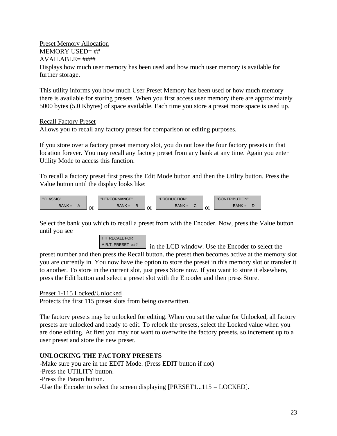#### Preset Memory Allocation MEMORY USED= ##

# $AVAILABILE=$ ####

Displays how much user memory has been used and how much user memory is available for further storage.

This utility informs you how much User Preset Memory has been used or how much memory there is available for storing presets. When you first access user memory there are approximately 5000 bytes (5.0 Kbytes) of space available. Each time you store a preset more space is used up.

# Recall Factory Preset

Allows you to recall any factory preset for comparison or editing purposes.

If you store over a factory preset memory slot, you do not lose the four factory presets in that location forever. You may recall any factory preset from any bank at any time. Again you enter Utility Mode to access this function.

To recall a factory preset first press the Edit Mode button and then the Utility button. Press the Value button until the display looks like:



Select the bank you which to recall a preset from with the Encoder. Now, press the Value button until you see



A.R.T. PRESET ### in the LCD window. Use the Encoder to select the

preset number and then press the Recall button. the preset then becomes active at the memory slot you are currently in. You now have the option to store the preset in this memory slot or transfer it to another. To store in the current slot, just press Store now. If you want to store it elsewhere, press the Edit button and select a preset slot with the Encoder and then press Store.

# Preset 1-115 Locked/Unlocked

Protects the first 115 preset slots from being overwritten.

The factory presets may be unlocked for editing. When you set the value for Unlocked, all factory presets are unlocked and ready to edit. To relock the presets, select the Locked value when you are done editing. At first you may not want to overwrite the factory presets, so increment up to a user preset and store the new preset.

# **UNLOCKING THE FACTORY PRESETS**

-Make sure you are in the EDIT Mode. (Press EDIT button if not)

- -Press the UTILITY button.
- -Press the Param button.

-Use the Encoder to select the screen displaying [PRESET1...115 = LOCKED].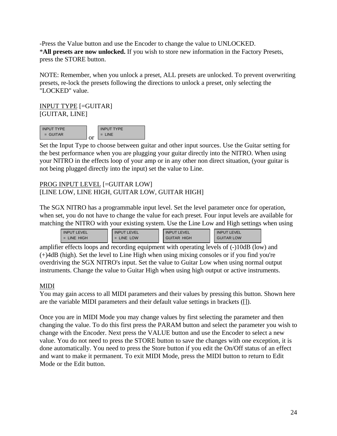-Press the Value button and use the Encoder to change the value to UNLOCKED. \***All presets are now unlocked.** If you wish to store new information in the Factory Presets, press the STORE button.

NOTE: Remember, when you unlock a preset, ALL presets are unlocked. To prevent overwriting presets, re-lock the presets following the directions to unlock a preset, only selecting the "LOCKED" value.

INPUT TYPE [=GUITAR] [GUITAR, LINE]



Set the Input Type to choose between guitar and other input sources. Use the Guitar setting for the best performance when you are plugging your guitar directly into the NITRO. When using your NITRO in the effects loop of your amp or in any other non direct situation, (your guitar is not being plugged directly into the input) set the value to Line.

# PROG INPUT LEVEL [=GUITAR LOW] [LINE LOW, LINE HIGH, GUITAR LOW, GUITAR HIGH]

The SGX NITRO has a programmable input level. Set the level parameter once for operation, when set, you do not have to change the value for each preset. Four input levels are available for matching the NITRO with your existing system. Use the Line Low and High settings when using

| <b>INPUT LEVEL</b> | <b>INPUT LEVEL</b> | <b>INPUT LEVEL</b> | <b>EVEL</b><br><b>INPUT</b> |
|--------------------|--------------------|--------------------|-----------------------------|
| $=$ LINE HIGH      | $=$ LINE LOW       | <b>GUITAR HIGH</b> | <b>GUITAR LOW</b>           |

amplifier effects loops and recording equipment with operating levels of (-)10dB (low) and (+)4dB (high). Set the level to Line High when using mixing consoles or if you find you're overdriving the SGX NITRO's input. Set the value to Guitar Low when using normal output instruments. Change the value to Guitar High when using high output or active instruments.

# MIDI

You may gain access to all MIDI parameters and their values by pressing this button. Shown here are the variable MIDI parameters and their default value settings in brackets ([]).

Once you are in MIDI Mode you may change values by first selecting the parameter and then changing the value. To do this first press the PARAM button and select the parameter you wish to change with the Encoder. Next press the VALUE button and use the Encoder to select a new value. You do not need to press the STORE button to save the changes with one exception, it is done automatically. You need to press the Store button if you edit the On/Off status of an effect and want to make it permanent. To exit MIDI Mode, press the MIDI button to return to Edit Mode or the Edit button.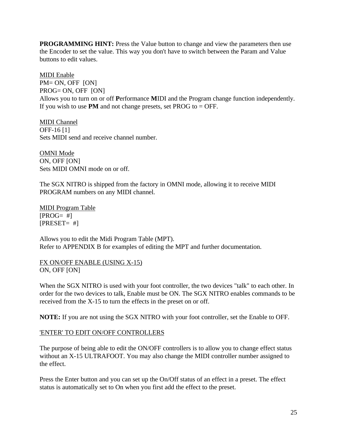**PROGRAMMING HINT:** Press the Value button to change and view the parameters then use the Encoder to set the value. This way you don't have to switch between the Param and Value buttons to edit values.

MIDI Enable PM= ON, OFF [ON] PROG= ON, OFF [ON] Allows you to turn on or off **P**erformance **M**IDI and the Program change function independently. If you wish to use **PM** and not change presets, set PROG to  $=$  OFF.

MIDI Channel OFF-16 [1] Sets MIDI send and receive channel number.

OMNI Mode ON, OFF [ON] Sets MIDI OMNI mode on or off.

The SGX NITRO is shipped from the factory in OMNI mode, allowing it to receive MIDI PROGRAM numbers on any MIDI channel.

MIDI Program Table  $[PROG= #]$  $[PRESET= #]$ 

Allows you to edit the Midi Program Table (MPT). Refer to APPENDIX B for examples of editing the MPT and further documentation.

FX ON/OFF ENABLE (USING X-15) ON, OFF [ON]

When the SGX NITRO is used with your foot controller, the two devices "talk" to each other. In order for the two devices to talk, Enable must be ON. The SGX NITRO enables commands to be received from the X-15 to turn the effects in the preset on or off.

**NOTE:** If you are not using the SGX NITRO with your foot controller, set the Enable to OFF.

# 'ENTER' TO EDIT ON/OFF CONTROLLERS

The purpose of being able to edit the ON/OFF controllers is to allow you to change effect status without an X-15 ULTRAFOOT. You may also change the MIDI controller number assigned to the effect.

Press the Enter button and you can set up the On/Off status of an effect in a preset. The effect status is automatically set to On when you first add the effect to the preset.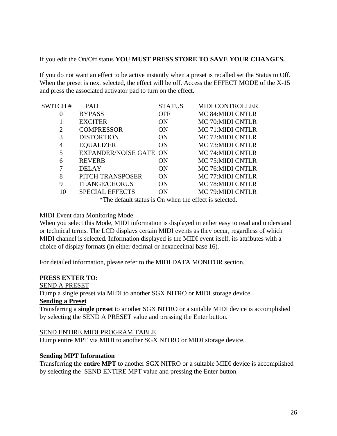If you edit the On/Off status **YOU MUST PRESS STORE TO SAVE YOUR CHANGES.**

If you do not want an effect to be active instantly when a preset is recalled set the Status to Off. When the preset is next selected, the effect will be off. Access the EFFECT MODE of the X-15 and press the associated activator pad to turn on the effect.

| SWITCH#               | <b>PAD</b>                                                                                                                                                                                                                                                                                    | <b>STATUS</b> | <b>MIDI CONTROLLER</b>                                                                                                                                                                                                                                                                                                                                                                                                 |
|-----------------------|-----------------------------------------------------------------------------------------------------------------------------------------------------------------------------------------------------------------------------------------------------------------------------------------------|---------------|------------------------------------------------------------------------------------------------------------------------------------------------------------------------------------------------------------------------------------------------------------------------------------------------------------------------------------------------------------------------------------------------------------------------|
| $\theta$              | <b>BYPASS</b>                                                                                                                                                                                                                                                                                 | <b>OFF</b>    | <b>MC 84:MIDI CNTLR</b>                                                                                                                                                                                                                                                                                                                                                                                                |
|                       | <b>EXCITER</b>                                                                                                                                                                                                                                                                                | ON            | <b>MC 70:MIDI CNTLR</b>                                                                                                                                                                                                                                                                                                                                                                                                |
| $\mathcal{D}_{\cdot}$ | <b>COMPRESSOR</b>                                                                                                                                                                                                                                                                             | <b>ON</b>     | <b>MC 71:MIDI CNTLR</b>                                                                                                                                                                                                                                                                                                                                                                                                |
| 3                     | <b>DISTORTION</b>                                                                                                                                                                                                                                                                             | <b>ON</b>     | <b>MC 72:MIDI CNTLR</b>                                                                                                                                                                                                                                                                                                                                                                                                |
| 4                     | <b>EQUALIZER</b>                                                                                                                                                                                                                                                                              | <b>ON</b>     | MC 73: MIDI CNTLR                                                                                                                                                                                                                                                                                                                                                                                                      |
| 5                     | <b>EXPANDER/NOISE GATE ON</b>                                                                                                                                                                                                                                                                 |               | <b>MC 74:MIDI CNTLR</b>                                                                                                                                                                                                                                                                                                                                                                                                |
| 6                     | <b>REVERB</b>                                                                                                                                                                                                                                                                                 | <b>ON</b>     | <b>MC 75:MIDI CNTLR</b>                                                                                                                                                                                                                                                                                                                                                                                                |
|                       | <b>DELAY</b>                                                                                                                                                                                                                                                                                  | <b>ON</b>     | MC 76: MIDI CNTLR                                                                                                                                                                                                                                                                                                                                                                                                      |
| 8                     | PITCH TRANSPOSER                                                                                                                                                                                                                                                                              | <b>ON</b>     | MC 77:MIDI CNTLR                                                                                                                                                                                                                                                                                                                                                                                                       |
| 9                     | <b>FLANGE/CHORUS</b>                                                                                                                                                                                                                                                                          | <b>ON</b>     | <b>MC 78:MIDI CNTLR</b>                                                                                                                                                                                                                                                                                                                                                                                                |
| 10                    | <b>SPECIAL EFFECTS</b>                                                                                                                                                                                                                                                                        | ON            | <b>MC 79:MIDI CNTLR</b>                                                                                                                                                                                                                                                                                                                                                                                                |
|                       | $\sqrt{m}$ 1 $\sqrt{m}$ 1 $\sqrt{m}$ 1 $\sqrt{m}$ 1 $\sqrt{m}$ 1 $\sqrt{m}$ 1 $\sqrt{m}$ 1 $\sqrt{m}$ 1 $\sqrt{m}$ 1 $\sqrt{m}$ 1 $\sqrt{m}$ 1 $\sqrt{m}$ 1 $\sqrt{m}$ 1 $\sqrt{m}$ 1 $\sqrt{m}$ 1 $\sqrt{m}$ 1 $\sqrt{m}$ 1 $\sqrt{m}$ 1 $\sqrt{m}$ 1 $\sqrt{m}$ 1 $\sqrt{m}$ 1 $\sqrt{m}$ 1 | $\cdot$ 1     | $\alpha$ , $\alpha$ , $\alpha$ , $\alpha$ , $\alpha$ , $\alpha$ , $\alpha$ , $\alpha$ , $\alpha$ , $\alpha$ , $\alpha$ , $\alpha$ , $\alpha$ , $\alpha$ , $\alpha$ , $\alpha$ , $\alpha$ , $\alpha$ , $\alpha$ , $\alpha$ , $\alpha$ , $\alpha$ , $\alpha$ , $\alpha$ , $\alpha$ , $\alpha$ , $\alpha$ , $\alpha$ , $\alpha$ , $\alpha$ , $\alpha$ , $\alpha$ , $\alpha$ , $\alpha$ , $\alpha$ , $\alpha$ , $\alpha$ , |

\*The default status is On when the effect is selected.

#### MIDI Event data Monitoring Mode

When you select this Mode, MIDI information is displayed in either easy to read and understand or technical terms. The LCD displays certain MIDI events as they occur, regardless of which MIDI channel is selected. Information displayed is the MIDI event itself, its attributes with a choice of display formats (in either decimal or hexadecimal base 16).

For detailed information, please refer to the MIDI DATA MONITOR section.

## **PRESS ENTER TO:**

#### SEND A PRESET

Dump a single preset via MIDI to another SGX NITRO or MIDI storage device.

#### **Sending a Preset**

Transferring a **single preset** to another SGX NITRO or a suitable MIDI device is accomplished by selecting the SEND A PRESET value and pressing the Enter button.

#### SEND ENTIRE MIDI PROGRAM TABLE

Dump entire MPT via MIDI to another SGX NITRO or MIDI storage device.

## **Sending MPT Information**

Transferring the **entire MPT** to another SGX NITRO or a suitable MIDI device is accomplished by selecting the SEND ENTIRE MPT value and pressing the Enter button.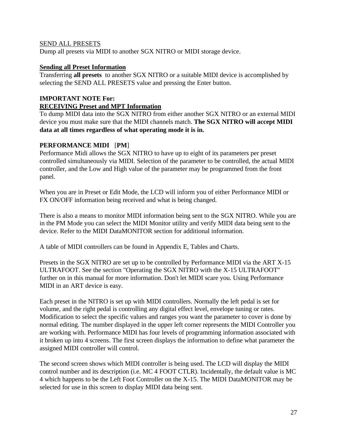#### SEND ALL PRESETS

Dump all presets via MIDI to another SGX NITRO or MIDI storage device.

#### **Sending all Preset Information**

Transferring **all presets** to another SGX NITRO or a suitable MIDI device is accomplished by selecting the SEND ALL PRESETS value and pressing the Enter button.

# **IMPORTANT NOTE For: RECEIVING Preset and MPT Information**

To dump MIDI data into the SGX NITRO from either another SGX NITRO or an external MIDI device you must make sure that the MIDI channels match. **The SGX NITRO will accept MIDI data at all times regardless of what operating mode it is in.**

## **PERFORMANCE MIDI** [**PM**]

Performance Midi allows the SGX NITRO to have up to eight of its parameters per preset controlled simultaneously via MIDI. Selection of the parameter to be controlled, the actual MIDI controller, and the Low and High value of the parameter may be programmed from the front panel.

When you are in Preset or Edit Mode, the LCD will inform you of either Performance MIDI or FX ON/OFF information being received and what is being changed.

There is also a means to monitor MIDI information being sent to the SGX NITRO. While you are in the PM Mode you can select the MIDI Monitor utility and verify MIDI data being sent to the device. Refer to the MIDI DataMONITOR section for additional information.

A table of MIDI controllers can be found in Appendix E, Tables and Charts.

Presets in the SGX NITRO are set up to be controlled by Performance MIDI via the ART X-15 ULTRAFOOT. See the section "Operating the SGX NITRO with the X-15 ULTRAFOOT" further on in this manual for more information. Don't let MIDI scare you. Using Performance MIDI in an ART device is easy.

Each preset in the NITRO is set up with MIDI controllers. Normally the left pedal is set for volume, and the right pedal is controlling any digital effect level, envelope tuning or rates. Modification to select the specific values and ranges you want the parameter to cover is done by normal editing. The number displayed in the upper left corner represents the MIDI Controller you are working with. Performance MIDI has four levels of programming information associated with it broken up into 4 screens. The first screen displays the information to define what parameter the assigned MIDI controller will control.

The second screen shows which MIDI controller is being used. The LCD will display the MIDI control number and its description (i.e. MC 4 FOOT CTLR). Incidentally, the default value is MC 4 which happens to be the Left Foot Controller on the X-15. The MIDI DataMONITOR may be selected for use in this screen to display MIDI data being sent.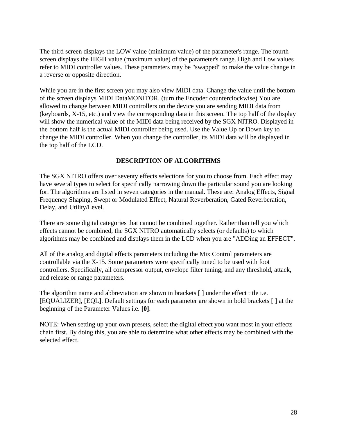The third screen displays the LOW value (minimum value) of the parameter's range. The fourth screen displays the HIGH value (maximum value) of the parameter's range. High and Low values refer to MIDI controller values. These parameters may be "swapped" to make the value change in a reverse or opposite direction.

While you are in the first screen you may also view MIDI data. Change the value until the bottom of the screen displays MIDI DataMONITOR. (turn the Encoder counterclockwise) You are allowed to change between MIDI controllers on the device you are sending MIDI data from (keyboards, X-15, etc.) and view the corresponding data in this screen. The top half of the display will show the numerical value of the MIDI data being received by the SGX NITRO. Displayed in the bottom half is the actual MIDI controller being used. Use the Value Up or Down key to change the MIDI controller. When you change the controller, its MIDI data will be displayed in the top half of the LCD.

## **DESCRIPTION OF ALGORITHMS**

The SGX NITRO offers over seventy effects selections for you to choose from. Each effect may have several types to select for specifically narrowing down the particular sound you are looking for. The algorithms are listed in seven categories in the manual. These are: Analog Effects, Signal Frequency Shaping, Swept or Modulated Effect, Natural Reverberation, Gated Reverberation, Delay, and Utility/Level.

There are some digital categories that cannot be combined together. Rather than tell you which effects cannot be combined, the SGX NITRO automatically selects (or defaults) to which algorithms may be combined and displays them in the LCD when you are "ADDing an EFFECT".

All of the analog and digital effects parameters including the Mix Control parameters are controllable via the X-15. Some parameters were specifically tuned to be used with foot controllers. Specifically, all compressor output, envelope filter tuning, and any threshold, attack, and release or range parameters.

The algorithm name and abbreviation are shown in brackets [ ] under the effect title i.e. [EQUALIZER], [EQL]. Default settings for each parameter are shown in bold brackets [ ] at the beginning of the Parameter Values i.e. **[0]**.

NOTE: When setting up your own presets, select the digital effect you want most in your effects chain first. By doing this, you are able to determine what other effects may be combined with the selected effect.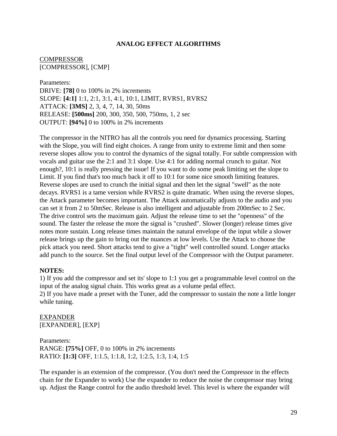#### **ANALOG EFFECT ALGORITHMS**

**COMPRESSOR** [COMPRESSOR], [CMP]

Parameters: DRIVE: **[78]** 0 to 100% in 2% increments SLOPE: **[4:1]** 1:1, 2:1, 3:1, 4:1, 10:1, LIMIT, RVRS1, RVRS2 ATTACK: **[3MS]** 2, 3, 4, 7, 14, 30, 50ms RELEASE: **[500ms]** 200, 300, 350, 500, 750ms, 1, 2 sec OUTPUT: **[94%]** 0 to 100% in 2% increments

The compressor in the NITRO has all the controls you need for dynamics processing. Starting with the Slope, you will find eight choices. A range from unity to extreme limit and then some reverse slopes allow you to control the dynamics of the signal totally. For subtle compression with vocals and guitar use the 2:1 and 3:1 slope. Use 4:1 for adding normal crunch to guitar. Not enough?, 10:1 is really pressing the issue! If you want to do some peak limiting set the slope to Limit. If you find that's too much back it off to 10:1 for some nice smooth limiting features. Reverse slopes are used to crunch the initial signal and then let the signal "swell" as the note decays. RVRS1 is a tame version while RVRS2 is quite dramatic. When using the reverse slopes, the Attack parameter becomes important. The Attack automatically adjusts to the audio and you can set it from 2 to 50mSec. Release is also intelligent and adjustable from 200mSec to 2 Sec. The drive control sets the maximum gain. Adjust the release time to set the "openness" of the sound. The faster the release the more the signal is "crushed". Slower (longer) release times give notes more sustain. Long release times maintain the natural envelope of the input while a slower release brings up the gain to bring out the nuances at low levels. Use the Attack to choose the pick attack you need. Short attacks tend to give a "tight" well controlled sound. Longer attacks add punch to the source. Set the final output level of the Compressor with the Output parameter.

#### **NOTES:**

1) If you add the compressor and set its' slope to 1:1 you get a programmable level control on the input of the analog signal chain. This works great as a volume pedal effect. 2) If you have made a preset with the Tuner, add the compressor to sustain the note a little longer while tuning.

EXPANDER [EXPANDER], [EXP]

Parameters: RANGE: **[75%]** OFF, 0 to 100% in 2% increments RATIO: **[1:3]** OFF, 1:1.5, 1:1.8, 1:2, 1:2.5, 1:3, 1:4, 1:5

The expander is an extension of the compressor. (You don't need the Compressor in the effects chain for the Expander to work) Use the expander to reduce the noise the compressor may bring up. Adjust the Range control for the audio threshold level. This level is where the expander will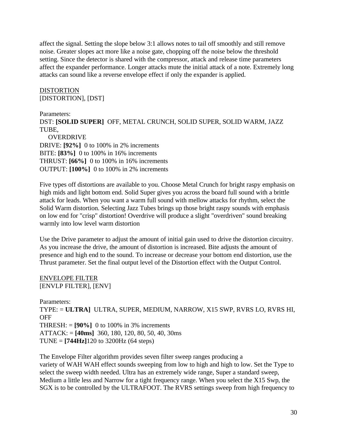affect the signal. Setting the slope below 3:1 allows notes to tail off smoothly and still remove noise. Greater slopes act more like a noise gate, chopping off the noise below the threshold setting. Since the detector is shared with the compressor, attack and release time parameters affect the expander performance. Longer attacks mute the initial attack of a note. Extremely long attacks can sound like a reverse envelope effect if only the expander is applied.

DISTORTION [DISTORTION], [DST]

Parameters: DST: **[SOLID SUPER]** OFF, METAL CRUNCH, SOLID SUPER, SOLID WARM, JAZZ TUBE, OVERDRIVE DRIVE: **[92%]** 0 to 100% in 2% increments BITE: **[83%]** 0 to 100% in 16% increments

THRUST: **[66%]** 0 to 100% in 16% increments OUTPUT: **[100%]** 0 to 100% in 2% increments

Five types off distortions are available to you. Choose Metal Crunch for bright raspy emphasis on high mids and light bottom end. Solid Super gives you across the board full sound with a brittle attack for leads. When you want a warm full sound with mellow attacks for rhythm, select the Solid Warm distortion. Selecting Jazz Tubes brings up those bright raspy sounds with emphasis on low end for "crisp" distortion! Overdrive will produce a slight "overdriven" sound breaking warmly into low level warm distortion

Use the Drive parameter to adjust the amount of initial gain used to drive the distortion circuitry. As you increase the drive, the amount of distortion is increased. Bite adjusts the amount of presence and high end to the sound. To increase or decrease your bottom end distortion, use the Thrust parameter. Set the final output level of the Distortion effect with the Output Control.

ENVELOPE FILTER [ENVLP FILTER], [ENV]

Parameters: TYPE: = **ULTRA]** ULTRA, SUPER, MEDIUM, NARROW, X15 SWP, RVRS LO, RVRS HI, **OFF** THRESH: = **[90%]** 0 to 100% in 3% increments ATTACK: = **[40ms]** 360, 180, 120, 80, 50, 40, 30ms TUNE = **[744Hz]**120 to 3200Hz (64 steps)

The Envelope Filter algorithm provides seven filter sweep ranges producing a variety of WAH WAH effect sounds sweeping from low to high and high to low. Set the Type to select the sweep width needed. Ultra has an extremely wide range, Super a standard sweep, Medium a little less and Narrow for a tight frequency range. When you select the X15 Swp, the SGX is to be controlled by the ULTRAFOOT. The RVRS settings sweep from high frequency to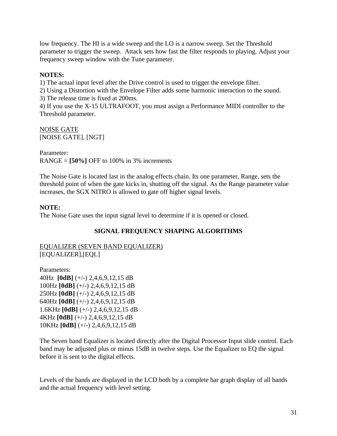low frequency. The HI is a wide sweep and the LO is a narrow sweep. Set the Threshold parameter to trigger the sweep. Attack sets how fast the filter responds to playing. Adjust your frequency sweep window with the Tune parameter.

## **NOTES:**

1) The actual input level after the Drive control is used to trigger the envelope filter.

2) Using a Distortion with the Envelope Filter adds some harmonic interaction to the sound.

3) The release time is fixed at 200ms.

4) If you use the X-15 ULTRAFOOT, you must assign a Performance MIDI controller to the Threshold parameter.

#### NOISE GATE [NOISE GATE], [NGT]

Parameter: RANGE = **[50%]** OFF to 100% in 3% increments

The Noise Gate is located last in the analog effects chain. Its one parameter, Range, sets the threshold point of when the gate kicks in, shutting off the signal. As the Range parameter value increases, the SGX NITRO is allowed to gate off higher signal levels.

# **NOTE:**

The Noise Gate uses the input signal level to determine if it is opened or closed.

# **SIGNAL FREQUENCY SHAPING ALGORITHMS**

EQUALIZER (SEVEN BAND EQUALIZER) [EQUALIZER],[EQL]

Parameters: 40Hz **[0dB]** (+/-) 2,4,6,9,12,15 dB 100Hz **[0dB]** (+/-) 2,4,6,9,12,15 dB 250Hz **[0dB]** (+/-) 2,4,6,9,12,15 dB 640Hz **[0dB]** (+/-) 2,4,6,9,12,15 dB 1.6KHz **[0dB]** (+/-) 2,4,6,9,12,15 dB 4KHz **[0dB]** (+/-) 2,4,6,9,12,15 dB 10KHz **[0dB]** (+/-) 2,4,6,9,12,15 dB

The Seven band Equalizer is located directly after the Digital Processor Input slide control. Each band may be adjusted plus or minus 15dB in twelve steps. Use the Equalizer to EQ the signal before it is sent to the digital effects.

Levels of the bands are displayed in the LCD both by a complete bar graph display of all bands and the actual frequency with level setting.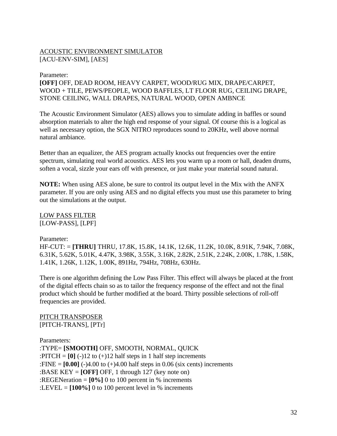# ACOUSTIC ENVIRONMENT SIMULATOR [ACU-ENV-SIM], [AES]

#### Parameter:

**[OFF]** OFF, DEAD ROOM, HEAVY CARPET, WOOD/RUG MIX, DRAPE/CARPET, WOOD + TILE, PEWS/PEOPLE, WOOD BAFFLES, LT FLOOR RUG, CEILING DRAPE, STONE CEILING, WALL DRAPES, NATURAL WOOD, OPEN AMBNCE

The Acoustic Environment Simulator (AES) allows you to simulate adding in baffles or sound absorption materials to alter the high end response of your signal. Of course this is a logical as well as necessary option, the SGX NITRO reproduces sound to 20KHz, well above normal natural ambiance.

Better than an equalizer, the AES program actually knocks out frequencies over the entire spectrum, simulating real world acoustics. AES lets you warm up a room or hall, deaden drums, soften a vocal, sizzle your ears off with presence, or just make your material sound natural.

**NOTE:** When using AES alone, be sure to control its output level in the Mix with the ANFX parameter. If you are only using AES and no digital effects you must use this parameter to bring out the simulations at the output.

LOW PASS FILTER [LOW-PASS], [LPF]

## Parameter:

HF-CUT: = **[THRU]** THRU, 17.8K, 15.8K, 14.1K, 12.6K, 11.2K, 10.0K, 8.91K, 7.94K, 7.08K, 6.31K, 5.62K, 5.01K, 4.47K, 3.98K, 3.55K, 3.16K, 2.82K, 2.51K, 2.24K, 2.00K, 1.78K, 1.58K, 1.41K, 1.26K, 1.12K, 1.00K, 891Hz, 794Hz, 708Hz, 630Hz.

There is one algorithm defining the Low Pass Filter. This effect will always be placed at the front of the digital effects chain so as to tailor the frequency response of the effect and not the final product which should be further modified at the board. Thirty possible selections of roll-off frequencies are provided.

PITCH TRANSPOSER [PITCH-TRANS], [PTr]

Parameters: :TYPE= **[SMOOTH]** OFF, SMOOTH, NORMAL, QUICK :PITCH =  $[0]$  (-)12 to (+)12 half steps in 1 half step increments :FINE =  $[0.00]$  (-)4.00 to (+)4.00 half steps in 0.06 (six cents) increments :BASE KEY = **[OFF]** OFF, 1 through 127 (key note on) :REGENeration = **[0%]** 0 to 100 percent in % increments :LEVEL = **[100%]** 0 to 100 percent level in % increments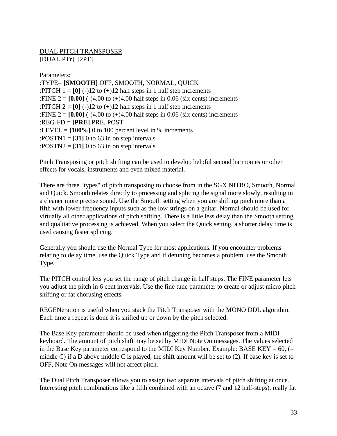DUAL PITCH TRANSPOSER [DUAL PTr], [2PT]

Parameters: :TYPE= **[SMOOTH]** OFF, SMOOTH, NORMAL, QUICK :PITCH  $1 = [0]$  (-)12 to (+)12 half steps in 1 half step increments :FINE  $2 = [0.00]$  (-)4.00 to (+)4.00 half steps in 0.06 (six cents) increments :PITCH  $2 = [0] (-12)$  to  $(+12)$  half steps in 1 half step increments :FINE  $2 = [0.00]$  (-)4.00 to (+)4.00 half steps in 0.06 (six cents) increments :REG-FD = **[PRE]** PRE, POST :LEVEL =  $[100\%]$  0 to 100 percent level in % increments :POSTN1 =  $[31]$  0 to 63 in on step intervals :POSTN2 =  $[31]$  0 to 63 in on step intervals

Pitch Transposing or pitch shifting can be used to develop helpful second harmonies or other effects for vocals, instruments and even mixed material.

There are three "types" of pitch transposing to choose from in the SGX NITRO, Smooth, Normal and Quick. Smooth relates directly to processing and splicing the signal more slowly, resulting in a cleaner more precise sound. Use the Smooth setting when you are shifting pitch more than a fifth with lower frequency inputs such as the low strings on a guitar. Normal should be used for virtually all other applications of pitch shifting. There is a little less delay than the Smooth setting and qualitative processing is achieved. When you select the Quick setting, a shorter delay time is used causing faster splicing.

Generally you should use the Normal Type for most applications. If you encounter problems relating to delay time, use the Quick Type and if detuning becomes a problem, use the Smooth Type.

The PITCH control lets you set the range of pitch change in half steps. The FINE parameter lets you adjust the pitch in 6 cent intervals. Use the fine tune parameter to create or adjust micro pitch shifting or fat chorusing effects.

REGENeration is useful when you stack the Pitch Transposer with the MONO DDL algorithm. Each time a repeat is done it is shifted up or down by the pitch selected.

The Base Key parameter should be used when triggering the Pitch Transposer from a MIDI keyboard. The amount of pitch shift may be set by MIDI Note On messages. The values selected in the Base Key parameter correspond to the MIDI Key Number. Example: BASE KEY =  $60$ , (= middle C) if a D above middle C is played, the shift amount will be set to (2). If base key is set to OFF, Note On messages will not affect pitch.

The Dual Pitch Transposer allows you to assign two separate intervals of pitch shifting at once. Interesting pitch combinations like a fifth combined with an octave (7 and 12 half-steps), really fat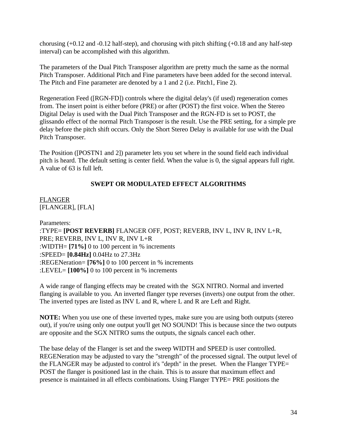chorusing (+0.12 and -0.12 half-step), and chorusing with pitch shifting (+0.18 and any half-step interval) can be accomplished with this algorithm.

The parameters of the Dual Pitch Transposer algorithm are pretty much the same as the normal Pitch Transposer. Additional Pitch and Fine parameters have been added for the second interval. The Pitch and Fine parameter are denoted by a 1 and 2 (i.e. Pitch1, Fine 2).

Regeneration Feed ([RGN-FD]) controls where the digital delay's (if used) regeneration comes from. The insert point is either before (PRE) or after (POST) the first voice. When the Stereo Digital Delay is used with the Dual Pitch Transposer and the RGN-FD is set to POST, the glissando effect of the normal Pitch Transposer is the result. Use the PRE setting, for a simple pre delay before the pitch shift occurs. Only the Short Stereo Delay is available for use with the Dual Pitch Transposer.

The Position ([POSTN1 and 2]) parameter lets you set where in the sound field each individual pitch is heard. The default setting is center field. When the value is 0, the signal appears full right. A value of 63 is full left.

## **SWEPT OR MODULATED EFFECT ALGORITHMS**

**FLANGER** [FLANGER], [FLA]

Parameters: :TYPE= **[POST REVERB]** FLANGER OFF, POST; REVERB, INV L, INV R, INV L+R, PRE; REVERB, INV L, INV R, INV L+R :WIDTH= **[71%]** 0 to 100 percent in % increments :SPEED= **[0.84Hz]** 0.04Hz to 27.3Hz :REGENeration= **[76%]** 0 to 100 percent in % increments :LEVEL= **[100%]** 0 to 100 percent in % increments

A wide range of flanging effects may be created with the SGX NITRO. Normal and inverted flanging is available to you. An inverted flanger type reverses (inverts) one output from the other. The inverted types are listed as INV L and R, where L and R are Left and Right.

**NOTE:** When you use one of these inverted types, make sure you are using both outputs (stereo out), if you're using only one output you'll get NO SOUND! This is because since the two outputs are opposite and the SGX NITRO sums the outputs, the signals cancel each other.

The base delay of the Flanger is set and the sweep WIDTH and SPEED is user controlled. REGENeration may be adjusted to vary the "strength" of the processed signal. The output level of the FLANGER may be adjusted to control it's "depth" in the preset. When the Flanger TYPE= POST the flanger is positioned last in the chain. This is to assure that maximum effect and presence is maintained in all effects combinations. Using Flanger TYPE= PRE positions the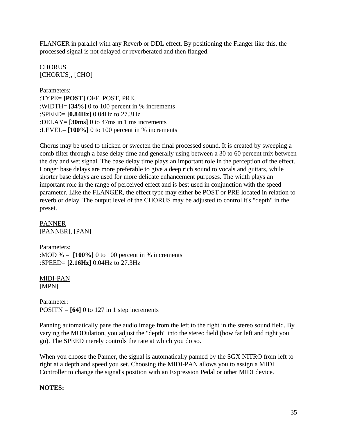FLANGER in parallel with any Reverb or DDL effect. By positioning the Flanger like this, the processed signal is not delayed or reverberated and then flanged.

CHORUS [CHORUS], [CHO]

Parameters: :TYPE= **[POST]** OFF, POST, PRE, :WIDTH= **[34%]** 0 to 100 percent in % increments :SPEED= **[0.84Hz]** 0.04Hz to 27.3Hz :DELAY= **[30ms]** 0 to 47ms in 1 ms increments :LEVEL= **[100%]** 0 to 100 percent in % increments

Chorus may be used to thicken or sweeten the final processed sound. It is created by sweeping a comb filter through a base delay time and generally using between a 30 to 60 percent mix between the dry and wet signal. The base delay time plays an important role in the perception of the effect. Longer base delays are more preferable to give a deep rich sound to vocals and guitars, while shorter base delays are used for more delicate enhancement purposes. The width plays an important role in the range of perceived effect and is best used in conjunction with the speed parameter. Like the FLANGER, the effect type may either be POST or PRE located in relation to reverb or delay. The output level of the CHORUS may be adjusted to control it's "depth" in the preset.

PANNER [PANNER], [PAN]

Parameters: :MOD  $% = [100\%]$  0 to 100 percent in % increments :SPEED= **[2.16Hz]** 0.04Hz to 27.3Hz

MIDI-PAN [MPN]

Parameter:  $POSITN = [64]$  0 to 127 in 1 step increments

Panning automatically pans the audio image from the left to the right in the stereo sound field. By varying the MODulation, you adjust the "depth" into the stereo field (how far left and right you go). The SPEED merely controls the rate at which you do so.

When you choose the Panner, the signal is automatically panned by the SGX NITRO from left to right at a depth and speed you set. Choosing the MIDI-PAN allows you to assign a MIDI Controller to change the signal's position with an Expression Pedal or other MIDI device.

## **NOTES:**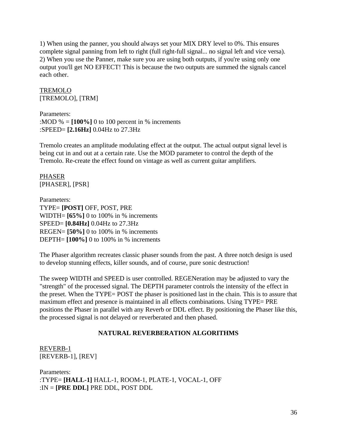1) When using the panner, you should always set your MIX DRY level to 0%. This ensures complete signal panning from left to right (full right-full signal... no signal left and vice versa). 2) When you use the Panner, make sure you are using both outputs, if you're using only one output you'll get NO EFFECT! This is because the two outputs are summed the signals cancel each other.

TREMOLO [TREMOLO], [TRM]

Parameters: :MOD  $% = [100\%]$  0 to 100 percent in % increments :SPEED= **[2.16Hz]** 0.04Hz to 27.3Hz

Tremolo creates an amplitude modulating effect at the output. The actual output signal level is being cut in and out at a certain rate. Use the MOD parameter to control the depth of the Tremolo. Re-create the effect found on vintage as well as current guitar amplifiers.

PHASER [PHASER], [PSR]

Parameters: TYPE= **[POST]** OFF, POST, PRE WIDTH= **[65%]** 0 to 100% in % increments SPEED= **[0.84Hz]** 0.04Hz to 27.3Hz REGEN= **[50%]** 0 to 100% in % increments DEPTH= **[100%]** 0 to 100% in % increments

The Phaser algorithm recreates classic phaser sounds from the past. A three notch design is used to develop stunning effects, killer sounds, and of course, pure sonic destruction!

The sweep WIDTH and SPEED is user controlled. REGENeration may be adjusted to vary the "strength" of the processed signal. The DEPTH parameter controls the intensity of the effect in the preset. When the TYPE= POST the phaser is positioned last in the chain. This is to assure that maximum effect and presence is maintained in all effects combinations. Using TYPE= PRE positions the Phaser in parallel with any Reverb or DDL effect. By positioning the Phaser like this, the processed signal is not delayed or reverberated and then phased.

# **NATURAL REVERBERATION ALGORITHMS**

REVERB-1 [REVERB-1], [REV]

Parameters: :TYPE= **[HALL-1]** HALL-1, ROOM-1, PLATE-1, VOCAL-1, OFF :IN = **[PRE DDL]** PRE DDL, POST DDL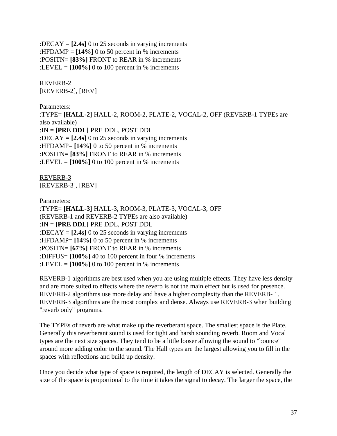:DECAY = **[2.4s]** 0 to 25 seconds in varying increments :HFDAMP =  $[14\%]$  0 to 50 percent in % increments :POSITN= **[83%]** FRONT to REAR in % increments :LEVEL  $= [100\%]$  0 to 100 percent in % increments

REVERB-2 [REVERB-2], [REV]

Parameters: :TYPE= **[HALL-2]** HALL-2, ROOM-2, PLATE-2, VOCAL-2, OFF (REVERB-1 TYPEs are also available) :IN = **[PRE DDL]** PRE DDL, POST DDL :DECAY = **[2.4s]** 0 to 25 seconds in varying increments :HFDAMP= **[14%]** 0 to 50 percent in % increments :POSITN= **[83%]** FRONT to REAR in % increments :LEVEL =  $[100\%]$  0 to 100 percent in % increments

REVERB-3 [REVERB-3], [REV]

Parameters:

:TYPE= **[HALL-3]** HALL-3, ROOM-3, PLATE-3, VOCAL-3, OFF (REVERB-1 and REVERB-2 TYPEs are also available) :IN = **[PRE DDL]** PRE DDL, POST DDL :DECAY = **[2.4s]** 0 to 25 seconds in varying increments :HFDAMP= **[14%]** 0 to 50 percent in % increments :POSITN= **[67%]** FRONT to REAR in % increments :DIFFUS= **[100%]** 40 to 100 percent in four % increments :LEVEL  $= [100\%]$  0 to 100 percent in % increments

REVERB-1 algorithms are best used when you are using multiple effects. They have less density and are more suited to effects where the reverb is not the main effect but is used for presence. REVERB-2 algorithms use more delay and have a higher complexity than the REVERB- 1. REVERB-3 algorithms are the most complex and dense. Always use REVERB-3 when building "reverb only" programs.

The TYPEs of reverb are what make up the reverberant space. The smallest space is the Plate. Generally this reverberant sound is used for tight and harsh sounding reverb. Room and Vocal types are the next size spaces. They tend to be a little looser allowing the sound to "bounce" around more adding color to the sound. The Hall types are the largest allowing you to fill in the spaces with reflections and build up density.

Once you decide what type of space is required, the length of DECAY is selected. Generally the size of the space is proportional to the time it takes the signal to decay. The larger the space, the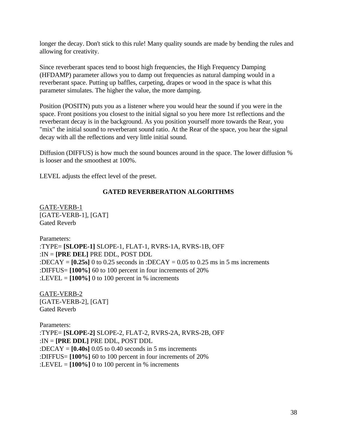longer the decay. Don't stick to this rule! Many quality sounds are made by bending the rules and allowing for creativity.

Since reverberant spaces tend to boost high frequencies, the High Frequency Damping (HFDAMP) parameter allows you to damp out frequencies as natural damping would in a reverberant space. Putting up baffles, carpeting, drapes or wood in the space is what this parameter simulates. The higher the value, the more damping.

Position (POSITN) puts you as a listener where you would hear the sound if you were in the space. Front positions you closest to the initial signal so you here more 1st reflections and the reverberant decay is in the background. As you position yourself more towards the Rear, you "mix" the initial sound to reverberant sound ratio. At the Rear of the space, you hear the signal decay with all the reflections and very little initial sound.

Diffusion (DIFFUS) is how much the sound bounces around in the space. The lower diffusion % is looser and the smoothest at 100%.

LEVEL adjusts the effect level of the preset.

### **GATED REVERBERATION ALGORITHMS**

GATE-VERB-1 [GATE-VERB-1], [GAT] Gated Reverb

Parameters: :TYPE= **[SLOPE-1]** SLOPE-1, FLAT-1, RVRS-1A, RVRS-1B, OFF :IN = **[PRE DEL]** PRE DDL, POST DDL :DECAY =  $[0.25s]$  0 to 0.25 seconds in :DECAY = 0.05 to 0.25 ms in 5 ms increments :DIFFUS= **[100%]** 60 to 100 percent in four increments of 20% :LEVEL =  $[100\%]$  0 to 100 percent in % increments

GATE-VERB-2 [GATE-VERB-2], [GAT] Gated Reverb

Parameters: :TYPE= **[SLOPE-2]** SLOPE-2, FLAT-2, RVRS-2A, RVRS-2B, OFF :IN = **[PRE DDL]** PRE DDL, POST DDL :DECAY = **[0.40s]** 0.05 to 0.40 seconds in 5 ms increments :DIFFUS= **[100%]** 60 to 100 percent in four increments of 20% :LEVEL =  $[100\%]$  0 to 100 percent in % increments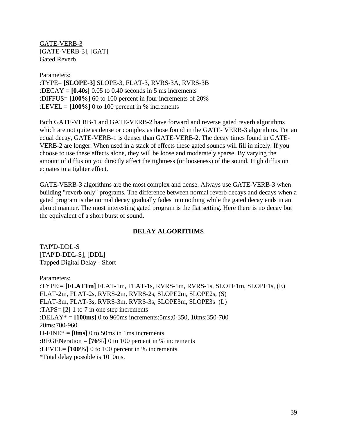GATE-VERB-3 [GATE-VERB-3], [GAT] Gated Reverb

Parameters: :TYPE= **[SLOPE-3]** SLOPE-3, FLAT-3, RVRS-3A, RVRS-3B :DECAY = **[0.40s]** 0.05 to 0.40 seconds in 5 ms increments :DIFFUS= **[100%]** 60 to 100 percent in four increments of 20% :LEVEL =  $[100\%]$  0 to 100 percent in % increments

Both GATE-VERB-1 and GATE-VERB-2 have forward and reverse gated reverb algorithms which are not quite as dense or complex as those found in the GATE-VERB-3 algorithms. For an equal decay, GATE-VERB-1 is denser than GATE-VERB-2. The decay times found in GATE-VERB-2 are longer. When used in a stack of effects these gated sounds will fill in nicely. If you choose to use these effects alone, they will be loose and moderately sparse. By varying the amount of diffusion you directly affect the tightness (or looseness) of the sound. High diffusion equates to a tighter effect.

GATE-VERB-3 algorithms are the most complex and dense. Always use GATE-VERB-3 when building "reverb only" programs. The difference between normal reverb decays and decays when a gated program is the normal decay gradually fades into nothing while the gated decay ends in an abrupt manner. The most interesting gated program is the flat setting. Here there is no decay but the equivalent of a short burst of sound.

### **DELAY ALGORITHMS**

TAP'D-DDL-S [TAP'D-DDL-S], [DDL] Tapped Digital Delay - Short

Parameters:

:TYPE:= **[FLAT1m]** FLAT-1m, FLAT-1s, RVRS-1m, RVRS-1s, SLOPE1m, SLOPE1s, (E) FLAT-2m, FLAT-2s, RVRS-2m, RVRS-2s, SLOPE2m, SLOPE2s, (S) FLAT-3m, FLAT-3s, RVRS-3m, RVRS-3s, SLOPE3m, SLOPE3s (L) :TAPS= **[2]** 1 to 7 in one step increments :DELAY\* = **[100ms]** 0 to 960ms increments:5ms;0-350, 10ms;350-700 20ms;700-960  $D\text{-FINE*} = [0\text{ms}]$  0 to 50ms in 1ms increments :REGENeration = **[76%]** 0 to 100 percent in % increments :LEVEL= **[100%]** 0 to 100 percent in % increments \*Total delay possible is 1010ms.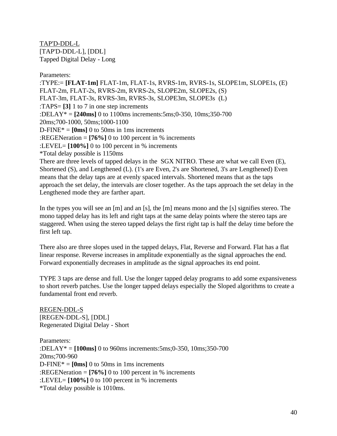TAP'D-DDL-L [TAP'D-DDL-L], [DDL] Tapped Digital Delay - Long

Parameters:

:TYPE:= **[FLAT-1m]** FLAT-1m, FLAT-1s, RVRS-1m, RVRS-1s, SLOPE1m, SLOPE1s, (E) FLAT-2m, FLAT-2s, RVRS-2m, RVRS-2s, SLOPE2m, SLOPE2s, (S) FLAT-3m, FLAT-3s, RVRS-3m, RVRS-3s, SLOPE3m, SLOPE3s (L) :TAPS= **[3]** 1 to 7 in one step increments :DELAY\* = **[240ms]** 0 to 1100ms increments:5ms;0-350, 10ms;350-700 20ms;700-1000, 50ms;1000-1100  $D\text{-FINE*} = [0\text{ms}]$  0 to 50ms in 1ms increments :REGENeration = **[76%]** 0 to 100 percent in % increments :LEVEL= **[100%]** 0 to 100 percent in % increments \*Total delay possible is 1150ms There are three levels of tapped delays in the SGX NITRO. These are what we call Even (E), Shortened (S), and Lengthened (L). (1's are Even, 2's are Shortened, 3's are Lengthened) Even means that the delay taps are at evenly spaced intervals. Shortened means that as the taps approach the set delay, the intervals are closer together. As the taps approach the set delay in the

In the types you will see an [m] and an [s], the [m] means mono and the [s] signifies stereo. The mono tapped delay has its left and right taps at the same delay points where the stereo taps are staggered. When using the stereo tapped delays the first right tap is half the delay time before the first left tap.

There also are three slopes used in the tapped delays, Flat, Reverse and Forward. Flat has a flat linear response. Reverse increases in amplitude exponentially as the signal approaches the end. Forward exponentially decreases in amplitude as the signal approaches its end point.

TYPE 3 taps are dense and full. Use the longer tapped delay programs to add some expansiveness to short reverb patches. Use the longer tapped delays especially the Sloped algorithms to create a fundamental front end reverb.

REGEN-DDL-S [REGEN-DDL-S], [DDL] Regenerated Digital Delay - Short

Lengthened mode they are farther apart.

Parameters: :DELAY\* = **[100ms]** 0 to 960ms increments:5ms;0-350, 10ms;350-700 20ms;700-960  $D\text{-FINE*} = [0\text{ms}]$  0 to 50ms in 1ms increments :REGENeration = **[76%]** 0 to 100 percent in % increments :LEVEL= **[100%]** 0 to 100 percent in % increments \*Total delay possible is 1010ms.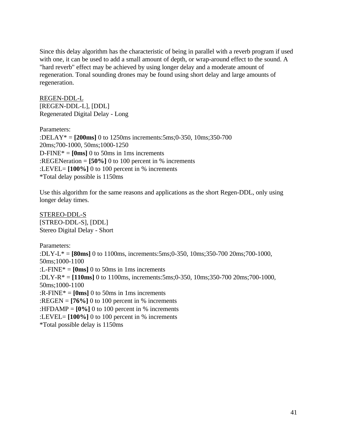Since this delay algorithm has the characteristic of being in parallel with a reverb program if used with one, it can be used to add a small amount of depth, or wrap-around effect to the sound. A "hard reverb" effect may be achieved by using longer delay and a moderate amount of regeneration. Tonal sounding drones may be found using short delay and large amounts of regeneration.

REGEN-DDL-L [REGEN-DDL-L], [DDL] Regenerated Digital Delay - Long

Parameters: :DELAY\* = **[200ms]** 0 to 1250ms increments:5ms;0-350, 10ms;350-700 20ms;700-1000, 50ms;1000-1250  $D\text{-FINE*} = [0\text{ms}]$  0 to 50ms in 1ms increments :REGENeration = **[50%]** 0 to 100 percent in % increments :LEVEL= **[100%]** 0 to 100 percent in % increments \*Total delay possible is 1150ms

Use this algorithm for the same reasons and applications as the short Regen-DDL, only using longer delay times.

STEREO-DDL-S [STREO-DDL-S], [DDL] Stereo Digital Delay - Short

Parameters: :DLY-L\* = **[80ms]** 0 to 1100ms, increments:5ms;0-350, 10ms;350-700 20ms;700-1000, 50ms;1000-1100 :L-FINE\* = **[0ms]** 0 to 50ms in 1ms increments :DLY-R\* = **[110ms]** 0 to 1100ms, increments:5ms;0-350, 10ms;350-700 20ms;700-1000, 50ms;1000-1100 : $R$ -FINE<sup>\*</sup> =  $[0 \text{ms}]$  0 to 50ms in 1ms increments :REGEN =  $[76\%]$  0 to 100 percent in % increments :HFDAMP =  $[0\%]$  0 to 100 percent in % increments :LEVEL= **[100%]** 0 to 100 percent in % increments \*Total possible delay is 1150ms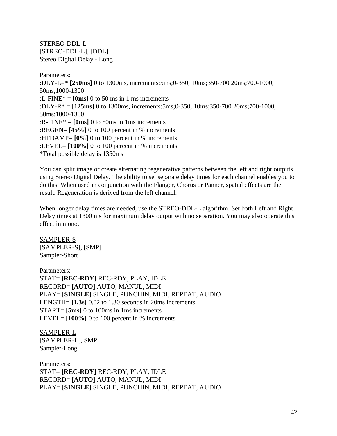STEREO-DDL-L [STREO-DDL-L], [DDL] Stereo Digital Delay - Long

Parameters: :DLY-L=\* **[250ms]** 0 to 1300ms, increments:5ms;0-350, 10ms;350-700 20ms;700-1000, 50ms;1000-1300 :L-FINE $* =$  **[0ms]** 0 to 50 ms in 1 ms increments :DLY-R\* = **[125ms]** 0 to 1300ms, increments:5ms;0-350, 10ms;350-700 20ms;700-1000, 50ms;1000-1300 : $R$ -FINE<sup>\*</sup> =  $[0 \text{ms}]$  0 to 50ms in 1ms increments :REGEN= **[45%]** 0 to 100 percent in % increments :HFDAMP= **[0%]** 0 to 100 percent in % increments :LEVEL= **[100%]** 0 to 100 percent in % increments \*Total possible delay is 1350ms

You can split image or create alternating regenerative patterns between the left and right outputs using Stereo Digital Delay. The ability to set separate delay times for each channel enables you to do this. When used in conjunction with the Flanger, Chorus or Panner, spatial effects are the result. Regeneration is derived from the left channel.

When longer delay times are needed, use the STREO-DDL-L algorithm. Set both Left and Right Delay times at 1300 ms for maximum delay output with no separation. You may also operate this effect in mono.

SAMPLER-S [SAMPLER-S], [SMP] Sampler-Short

Parameters: STAT= **[REC-RDY]** REC-RDY, PLAY, IDLE RECORD= **[AUTO]** AUTO, MANUL, MIDI PLAY= **[SINGLE]** SINGLE, PUNCHIN, MIDI, REPEAT, AUDIO LENGTH= **[1.3s]** 0.02 to 1.30 seconds in 20ms increments START= **[5ms]** 0 to 100ms in 1ms increments LEVEL=  $[100\%]$  0 to 100 percent in % increments

SAMPLER-L [SAMPLER-L], SMP Sampler-Long

Parameters: STAT= **[REC-RDY]** REC-RDY, PLAY, IDLE RECORD= **[AUTO]** AUTO, MANUL, MIDI PLAY= **[SINGLE]** SINGLE, PUNCHIN, MIDI, REPEAT, AUDIO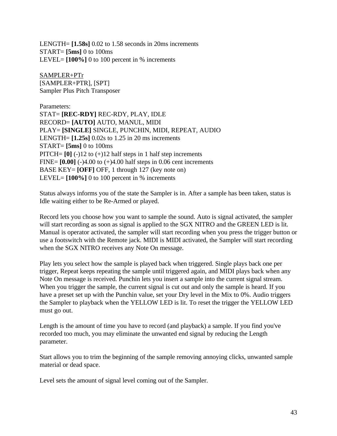LENGTH= **[1.58s]** 0.02 to 1.58 seconds in 20ms increments START= **[5ms]** 0 to 100ms LEVEL=  $[100\%]$  0 to 100 percent in % increments

SAMPLER+PTr [SAMPLER+PTR], [SPT] Sampler Plus Pitch Transposer

Parameters: STAT= **[REC-RDY]** REC-RDY, PLAY, IDLE RECORD= **[AUTO]** AUTO, MANUL, MIDI PLAY= **[SINGLE]** SINGLE, PUNCHIN, MIDI, REPEAT, AUDIO LENGTH= **[1.25s]** 0.02s to 1.25 in 20 ms increments START= **[5ms]** 0 to 100ms PITCH=  $[0]$  (-)12 to (+)12 half steps in 1 half step increments FINE= **[0.00]** (-)4.00 to (+)4.00 half steps in 0.06 cent increments BASE KEY= **[OFF]** OFF, 1 through 127 (key note on) LEVEL=  $[100\%]$  0 to 100 percent in % increments

Status always informs you of the state the Sampler is in. After a sample has been taken, status is Idle waiting either to be Re-Armed or played.

Record lets you choose how you want to sample the sound. Auto is signal activated, the sampler will start recording as soon as signal is applied to the SGX NITRO and the GREEN LED is lit. Manual is operator activated, the sampler will start recording when you press the trigger button or use a footswitch with the Remote jack. MIDI is MIDI activated, the Sampler will start recording when the SGX NITRO receives any Note On message.

Play lets you select how the sample is played back when triggered. Single plays back one per trigger, Repeat keeps repeating the sample until triggered again, and MIDI plays back when any Note On message is received. Punchin lets you insert a sample into the current signal stream. When you trigger the sample, the current signal is cut out and only the sample is heard. If you have a preset set up with the Punchin value, set your Dry level in the Mix to 0%. Audio triggers the Sampler to playback when the YELLOW LED is lit. To reset the trigger the YELLOW LED must go out.

Length is the amount of time you have to record (and playback) a sample. If you find you've recorded too much, you may eliminate the unwanted end signal by reducing the Length parameter.

Start allows you to trim the beginning of the sample removing annoying clicks, unwanted sample material or dead space.

Level sets the amount of signal level coming out of the Sampler.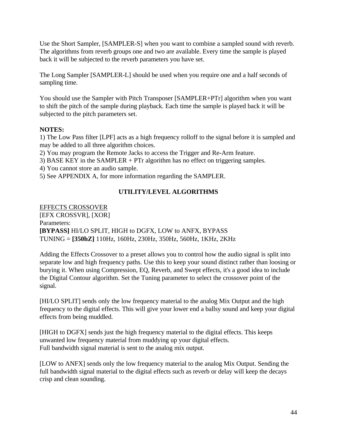Use the Short Sampler, [SAMPLER-S] when you want to combine a sampled sound with reverb. The algorithms from reverb groups one and two are available. Every time the sample is played back it will be subjected to the reverb parameters you have set.

The Long Sampler [SAMPLER-L] should be used when you require one and a half seconds of sampling time.

You should use the Sampler with Pitch Transposer [SAMPLER+PTr] algorithm when you want to shift the pitch of the sample during playback. Each time the sample is played back it will be subjected to the pitch parameters set.

# **NOTES:**

1) The Low Pass filter [LPF] acts as a high frequency rolloff to the signal before it is sampled and may be added to all three algorithm choices.

2) You may program the Remote Jacks to access the Trigger and Re-Arm feature.

3) BASE KEY in the SAMPLER + PTr algorithm has no effect on triggering samples.

4) You cannot store an audio sample.

5) See APPENDIX A, for more information regarding the SAMPLER.

# **UTILITY/LEVEL ALGORITHMS**

EFFECTS CROSSOVER [EFX CROSSVR], [XOR] Parameters: **[BYPASS]** HI/LO SPLIT, HIGH to DGFX, LOW to ANFX, BYPASS TUNING = **[350hZ]** 110Hz, 160Hz, 230Hz, 350Hz, 560Hz, 1KHz, 2KHz

Adding the Effects Crossover to a preset allows you to control how the audio signal is split into separate low and high frequency paths. Use this to keep your sound distinct rather than loosing or burying it. When using Compression, EQ, Reverb, and Swept effects, it's a good idea to include the Digital Contour algorithm. Set the Tuning parameter to select the crossover point of the signal.

[HI/LO SPLIT] sends only the low frequency material to the analog Mix Output and the high frequency to the digital effects. This will give your lower end a ballsy sound and keep your digital effects from being muddled.

[HIGH to DGFX] sends just the high frequency material to the digital effects. This keeps unwanted low frequency material from muddying up your digital effects. Full bandwidth signal material is sent to the analog mix output.

[LOW to ANFX] sends only the low frequency material to the analog Mix Output. Sending the full bandwidth signal material to the digital effects such as reverb or delay will keep the decays crisp and clean sounding.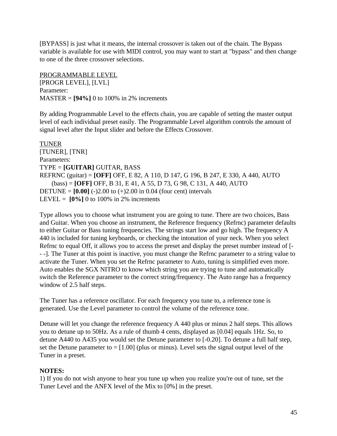[BYPASS] is just what it means, the internal crossover is taken out of the chain. The Bypass variable is available for use with MIDI control, you may want to start at "bypass" and then change to one of the three crossover selections.

PROGRAMMABLE LEVEL [PROGR LEVEL], [LVL] Parameter: MASTER = **[94%]** 0 to 100% in 2% increments

By adding Programmable Level to the effects chain, you are capable of setting the master output level of each individual preset easily. The Programmable Level algorithm controls the amount of signal level after the Input slider and before the Effects Crossover.

TUNER [TUNER], [TNR] Parameters: TYPE = **[GUITAR]** GUITAR, BASS REFRNC (guitar) = **[OFF]** OFF, E 82, A 110, D 147, G 196, B 247, E 330, A 440, AUTO (bass) = **[OFF]** OFF, B 31, E 41, A 55, D 73, G 98, C 131, A 440, AUTO **DETUNE =**  $[0.00]$  (-)2.00 to (+)2.00 in 0.04 (four cent) intervals LEVEL =  $[0\%]$  0 to 100% in 2% increments

Type allows you to choose what instrument you are going to tune. There are two choices, Bass and Guitar. When you choose an instrument, the Reference frequency (Refrnc) parameter defaults to either Guitar or Bass tuning frequencies. The strings start low and go high. The frequency A 440 is included for tuning keyboards, or checking the intonation of your neck. When you select Refrnc to equal Off, it allows you to access the preset and display the preset number instead of [- - -]. The Tuner at this point is inactive, you must change the Refrnc parameter to a string value to activate the Tuner. When you set the Refrnc parameter to Auto, tuning is simplified even more. Auto enables the SGX NITRO to know which string you are trying to tune and automatically switch the Reference parameter to the correct string/frequency. The Auto range has a frequency window of 2.5 half steps.

The Tuner has a reference oscillator. For each frequency you tune to, a reference tone is generated. Use the Level parameter to control the volume of the reference tone.

Detune will let you change the reference frequency A 440 plus or minus 2 half steps. This allows you to detune up to 50Hz. As a rule of thumb 4 cents, displayed as [0.04] equals 1Hz. So, to detune A440 to A435 you would set the Detune parameter to [-0.20]. To detune a full half step, set the Detune parameter to  $=[1.00]$  (plus or minus). Level sets the signal output level of the Tuner in a preset.

### **NOTES:**

1) If you do not wish anyone to hear you tune up when you realize you're out of tune, set the Tuner Level and the ANFX level of the Mix to [0%] in the preset.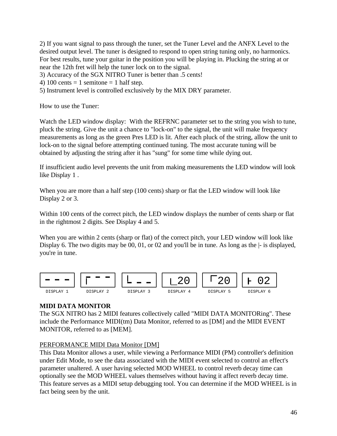2) If you want signal to pass through the tuner, set the Tuner Level and the ANFX Level to the desired output level. The tuner is designed to respond to open string tuning only, no harmonics. For best results, tune your guitar in the position you will be playing in. Plucking the string at or near the 12th fret will help the tuner lock on to the signal.

3) Accuracy of the SGX NITRO Tuner is better than .5 cents!

4) 100 cents = 1 semitone = 1 half step.

5) Instrument level is controlled exclusively by the MIX DRY parameter.

How to use the Tuner:

Watch the LED window display: With the REFRNC parameter set to the string you wish to tune, pluck the string. Give the unit a chance to "lock-on" to the signal, the unit will make frequency measurements as long as the green Pres LED is lit. After each pluck of the string, allow the unit to lock-on to the signal before attempting continued tuning. The most accurate tuning will be obtained by adjusting the string after it has "sung" for some time while dying out.

If insufficient audio level prevents the unit from making measurements the LED window will look like Display 1 .

When you are more than a half step (100 cents) sharp or flat the LED window will look like Display 2 or 3.

Within 100 cents of the correct pitch, the LED window displays the number of cents sharp or flat in the rightmost 2 digits. See Display 4 and 5.

When you are within 2 cents (sharp or flat) of the correct pitch, your LED window will look like Display 6. The two digits may be 00, 01, or 02 and you'll be in tune. As long as the  $\vdash$  is displayed, you're in tune.



# **MIDI DATA MONITOR**

The SGX NITRO has 2 MIDI features collectively called "MIDI DATA MONITORing". These include the Performance MIDI(tm) Data Monitor, referred to as [DM] and the MIDI EVENT MONITOR, referred to as [MEM].

# PERFORMANCE MIDI Data Monitor [DM]

This Data Monitor allows a user, while viewing a Performance MIDI (PM) controller's definition under Edit Mode, to see the data associated with the MIDI event selected to control an effect's parameter unaltered. A user having selected MOD WHEEL to control reverb decay time can optionally see the MOD WHEEL values themselves without having it affect reverb decay time. This feature serves as a MIDI setup debugging tool. You can determine if the MOD WHEEL is in fact being seen by the unit.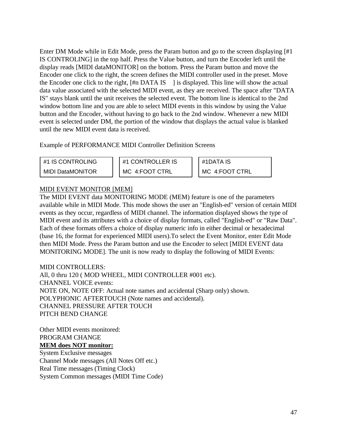Enter DM Mode while in Edit Mode, press the Param button and go to the screen displaying [#1 IS CONTROLING] in the top half. Press the Value button, and turn the Encoder left until the display reads [MIDI dataMONITOR] on the bottom. Press the Param button and move the Encoder one click to the right, the screen defines the MIDI controller used in the preset. Move the Encoder one click to the right,  $\frac{1}{2}$  This displayed. This line will show the actual data value associated with the selected MIDI event, as they are received. The space after "DATA IS" stays blank until the unit receives the selected event. The bottom line is identical to the 2nd window bottom line and you are able to select MIDI events in this window by using the Value button and the Encoder, without having to go back to the 2nd window. Whenever a new MIDI event is selected under DM, the portion of the window that displays the actual value is blanked until the new MIDI event data is received.

Example of PERFORMANCE MIDI Controller Definition Screens

MIDI DataMONITOR  $\parallel$  MC 4:FOOT CTRL  $\parallel$  MC 4:FOOT CTRL

#1 IS CONTROLING  $\|\cdot\|$  #1 CONTROLLER IS  $\|\cdot\|$  #1DATA IS

## MIDI EVENT MONITOR [MEM]

The MIDI EVENT data MONITORING MODE (MEM) feature is one of the parameters available while in MIDI Mode. This mode shows the user an "English-ed" version of certain MIDI events as they occur, regardless of MIDI channel. The information displayed shows the type of MIDI event and its attributes with a choice of display formats, called "English-ed" or "Raw Data". Each of these formats offers a choice of display numeric info in either decimal or hexadecimal (base 16, the format for experienced MIDI users).To select the Event Monitor, enter Edit Mode then MIDI Mode. Press the Param button and use the Encoder to select [MIDI EVENT data MONITORING MODE]. The unit is now ready to display the following of MIDI Events:

### MIDI CONTROLLERS:

All, 0 thru 120 ( MOD WHEEL, MIDI CONTROLLER #001 etc). CHANNEL VOICE events: NOTE ON, NOTE OFF: Actual note names and accidental (Sharp only) shown. POLYPHONIC AFTERTOUCH (Note names and accidental). CHANNEL PRESSURE AFTER TOUCH PITCH BEND CHANGE

Other MIDI events monitored: PROGRAM CHANGE **MEM does NOT monitor:** System Exclusive messages Channel Mode messages (All Notes Off etc.) Real Time messages (Timing Clock) System Common messages (MIDI Time Code)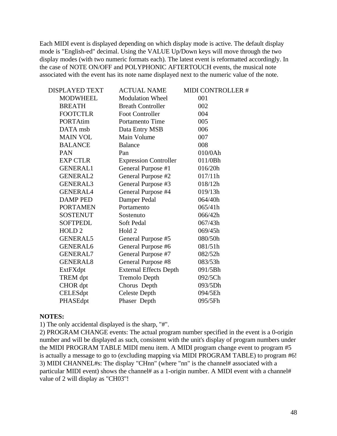Each MIDI event is displayed depending on which display mode is active. The default display mode is "English-ed" decimal. Using the VALUE Up/Down keys will move through the two display modes (with two numeric formats each). The latest event is reformatted accordingly. In the case of NOTE ON/OFF and POLYPHONIC AFTERTOUCH events, the musical note associated with the event has its note name displayed next to the numeric value of the note.

| <b>DISPLAYED TEXT</b> | <b>ACTUAL NAME</b>            | MIDI CONTROLLER # |
|-----------------------|-------------------------------|-------------------|
| <b>MODWHEEL</b>       | <b>Modulation Wheel</b>       | 001               |
| <b>BREATH</b>         | <b>Breath Controller</b>      | 002               |
| <b>FOOTCTLR</b>       | <b>Foot Controller</b>        | 004               |
| <b>PORTAtim</b>       | Portamento Time               | 005               |
| DATA msb              | Data Entry MSB                | 006               |
| <b>MAIN VOL</b>       | Main Volume                   | 007               |
| <b>BALANCE</b>        | <b>Balance</b>                | 008               |
| <b>PAN</b>            | Pan                           | 010/0Ah           |
| <b>EXP CTLR</b>       | <b>Expression Controller</b>  | 011/0Bh           |
| <b>GENERAL1</b>       | General Purpose #1            | 016/20h           |
| <b>GENERAL2</b>       | General Purpose #2            | 017/11h           |
| <b>GENERAL3</b>       | General Purpose #3            | 018/12h           |
| <b>GENERAL4</b>       | General Purpose #4            | 019/13h           |
| <b>DAMP PED</b>       | Damper Pedal                  | 064/40h           |
| <b>PORTAMEN</b>       | Portamento                    | 065/41h           |
| <b>SOSTENUT</b>       | Sostenuto                     | 066/42h           |
| <b>SOFTPEDL</b>       | Soft Pedal                    | 067/43h           |
| HOLD <sub>2</sub>     | Hold 2                        | 069/45h           |
| <b>GENERAL5</b>       | General Purpose #5            | 080/50h           |
| <b>GENERAL6</b>       | General Purpose #6            | 081/51h           |
| <b>GENERAL7</b>       | General Purpose #7            | 082/52h           |
| <b>GENERAL8</b>       | General Purpose #8            | 083/53h           |
| ExtFXdpt              | <b>External Effects Depth</b> | 091/5Bh           |
| TREM dpt              | <b>Tremolo Depth</b>          | 092/5Ch           |
| CHOR dpt              | Chorus Depth                  | 093/5Dh           |
| CELESdpt              | <b>Celeste Depth</b>          | 094/5Eh           |
| PHASEdpt              | Phaser Depth                  | 095/5Fh           |
|                       |                               |                   |

#### **NOTES:**

1) The only accidental displayed is the sharp, "#".

2) PROGRAM CHANGE events: The actual program number specified in the event is a 0-origin number and will be displayed as such, consistent with the unit's display of program numbers under the MIDI PROGRAM TABLE MIDI menu item. A MIDI program change event to program #5 is actually a message to go to (excluding mapping via MIDI PROGRAM TABLE) to program #6! 3) MIDI CHANNEL#s: The display "CHnn" (where "nn" is the channel# associated with a particular MIDI event) shows the channel# as a 1-origin number. A MIDI event with a channel# value of 2 will display as "CH03"!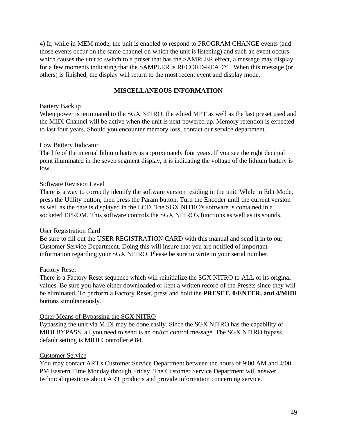4) If, while in MEM mode, the unit is enabled to respond to PROGRAM CHANGE events (and those events occur on the same channel on which the unit is listening) and such an event occurs which causes the unit to switch to a preset that has the SAMPLER effect, a message may display for a few moments indicating that the SAMPLER is RECORD-READY. When this message (or others) is finished, the display will return to the most recent event and display mode.

### **MISCELLANEOUS INFORMATION**

#### Battery Backup

When power is terminated to the SGX NITRO, the edited MPT as well as the last preset used and the MIDI Channel will be active when the unit is next powered up. Memory retention is expected to last four years. Should you encounter memory loss, contact our service department.

#### Low Battery Indicator

The life of the internal lithium battery is approximately four years. If you see the right decimal point illuminated in the seven segment display, it is indicating the voltage of the lithium battery is low.

### Software Revision Level

There is a way to correctly identify the software version residing in the unit. While in Edit Mode, press the Utility button, then press the Param button. Turn the Encoder until the current version as well as the date is displayed in the LCD. The SGX NITRO's software is contained in a socketed EPROM. This software controls the SGX NITRO's functions as well as its sounds.

#### User Registration Card

Be sure to fill out the USER REGISTRATION CARD with this manual and send it in to our Customer Service Department. Doing this will insure that you are notified of important information regarding your SGX NITRO. Please be sure to write in your serial number.

### Factory Reset

There is a Factory Reset sequence which will reinitialize the SGX NITRO to ALL of its original values. Be sure you have either downloaded or kept a written record of the Presets since they will be eliminated. To perform a Factory Reset, press and hold the **PRESET, 0/ENTER, and 4/MIDI** buttons simultaneously.

#### Other Means of Bypassing the SGX NITRO

Bypassing the unit via MIDI may be done easily. Since the SGX NITRO has the capability of MIDI BYPASS, all you need to send is an on/off control message. The SGX NITRO bypass default setting is MIDI Controller # 84.

### Customer Service

You may contact ART's Customer Service Department between the hours of 9:00 AM and 4:00 PM Eastern Time Monday through Friday. The Customer Service Department will answer technical questions about ART products and provide information concerning service.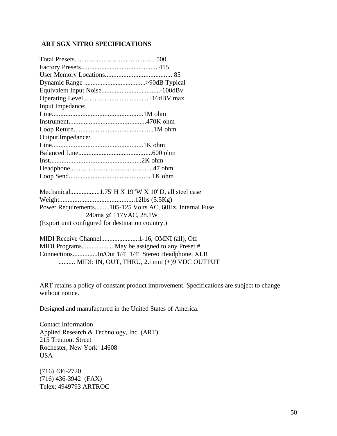### **ART SGX NITRO SPECIFICATIONS**

| Input Impedance:         |  |
|--------------------------|--|
|                          |  |
|                          |  |
|                          |  |
| <b>Output Impedance:</b> |  |
|                          |  |
|                          |  |
|                          |  |
|                          |  |
|                          |  |
|                          |  |

| Power Requirements105-125 Volts AC, 60Hz, Internal Fuse |
|---------------------------------------------------------|
| 240ma @ 117VAC, 28.1W                                   |
| (Export unit configured for destination country.)       |

| ConnectionsIn/Out 1/4" 1/4" Stereo Headphone, XLR |
|---------------------------------------------------|
| MIDI: IN, OUT, THRU, $2.1$ mm $(+)9$ VDC OUTPUT   |

ART retains a policy of constant product improvement. Specifications are subject to change without notice.

Designed and manufactured in the United States of America.

Contact Information Applied Research & Technology, Inc. (ART) 215 Tremont Street Rochester, New York 14608 USA

(716) 436-2720 (716) 436-3942 (FAX) Telex: 4949793 ARTROC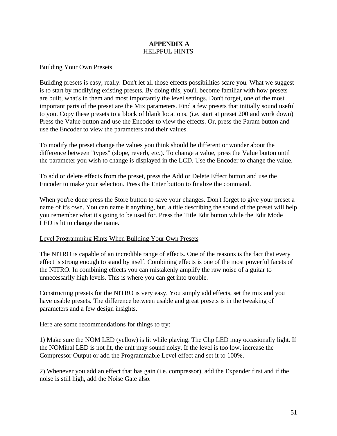### **APPENDIX A** HELPFUL HINTS

#### Building Your Own Presets

Building presets is easy, really. Don't let all those effects possibilities scare you. What we suggest is to start by modifying existing presets. By doing this, you'll become familiar with how presets are built, what's in them and most importantly the level settings. Don't forget, one of the most important parts of the preset are the Mix parameters. Find a few presets that initially sound useful to you. Copy these presets to a block of blank locations. (i.e. start at preset 200 and work down) Press the Value button and use the Encoder to view the effects. Or, press the Param button and use the Encoder to view the parameters and their values.

To modify the preset change the values you think should be different or wonder about the difference between "types" (slope, reverb, etc.). To change a value, press the Value button until the parameter you wish to change is displayed in the LCD. Use the Encoder to change the value.

To add or delete effects from the preset, press the Add or Delete Effect button and use the Encoder to make your selection. Press the Enter button to finalize the command.

When you're done press the Store button to save your changes. Don't forget to give your preset a name of it's own. You can name it anything, but, a title describing the sound of the preset will help you remember what it's going to be used for. Press the Title Edit button while the Edit Mode LED is lit to change the name.

#### Level Programming Hints When Building Your Own Presets

The NITRO is capable of an incredible range of effects. One of the reasons is the fact that every effect is strong enough to stand by itself. Combining effects is one of the most powerful facets of the NITRO. In combining effects you can mistakenly amplify the raw noise of a guitar to unnecessarily high levels. This is where you can get into trouble.

Constructing presets for the NITRO is very easy. You simply add effects, set the mix and you have usable presets. The difference between usable and great presets is in the tweaking of parameters and a few design insights.

Here are some recommendations for things to try:

1) Make sure the NOM LED (yellow) is lit while playing. The Clip LED may occasionally light. If the NOMinal LED is not lit, the unit may sound noisy. If the level is too low, increase the Compressor Output or add the Programmable Level effect and set it to 100%.

2) Whenever you add an effect that has gain (i.e. compressor), add the Expander first and if the noise is still high, add the Noise Gate also.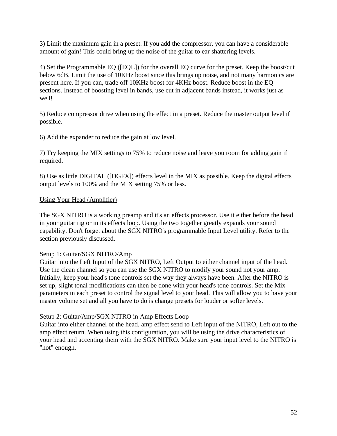3) Limit the maximum gain in a preset. If you add the compressor, you can have a considerable amount of gain! This could bring up the noise of the guitar to ear shattering levels.

4) Set the Programmable EQ ([EQL]) for the overall EQ curve for the preset. Keep the boost/cut below 6dB. Limit the use of 10KHz boost since this brings up noise, and not many harmonics are present here. If you can, trade off 10KHz boost for 4KHz boost. Reduce boost in the EQ sections. Instead of boosting level in bands, use cut in adjacent bands instead, it works just as well!

5) Reduce compressor drive when using the effect in a preset. Reduce the master output level if possible.

6) Add the expander to reduce the gain at low level.

7) Try keeping the MIX settings to 75% to reduce noise and leave you room for adding gain if required.

8) Use as little DIGITAL ([DGFX]) effects level in the MIX as possible. Keep the digital effects output levels to 100% and the MIX setting 75% or less.

### Using Your Head (Amplifier)

The SGX NITRO is a working preamp and it's an effects processor. Use it either before the head in your guitar rig or in its effects loop. Using the two together greatly expands your sound capability. Don't forget about the SGX NITRO's programmable Input Level utility. Refer to the section previously discussed.

#### Setup 1: Guitar/SGX NITRO/Amp

Guitar into the Left Input of the SGX NITRO, Left Output to either channel input of the head. Use the clean channel so you can use the SGX NITRO to modify your sound not your amp. Initially, keep your head's tone controls set the way they always have been. After the NITRO is set up, slight tonal modifications can then be done with your head's tone controls. Set the Mix parameters in each preset to control the signal level to your head. This will allow you to have your master volume set and all you have to do is change presets for louder or softer levels.

### Setup 2: Guitar/Amp/SGX NITRO in Amp Effects Loop

Guitar into either channel of the head, amp effect send to Left input of the NITRO, Left out to the amp effect return. When using this configuration, you will be using the drive characteristics of your head and accenting them with the SGX NITRO. Make sure your input level to the NITRO is "hot" enough.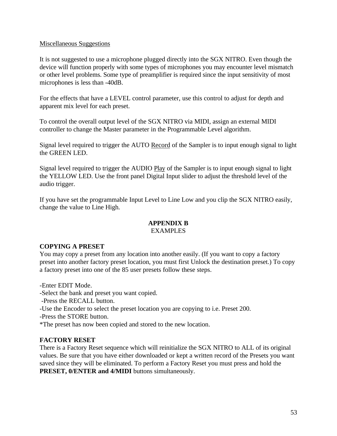### Miscellaneous Suggestions

It is not suggested to use a microphone plugged directly into the SGX NITRO. Even though the device will function properly with some types of microphones you may encounter level mismatch or other level problems. Some type of preamplifier is required since the input sensitivity of most microphones is less than -40dB.

For the effects that have a LEVEL control parameter, use this control to adjust for depth and apparent mix level for each preset.

To control the overall output level of the SGX NITRO via MIDI, assign an external MIDI controller to change the Master parameter in the Programmable Level algorithm.

Signal level required to trigger the AUTO Record of the Sampler is to input enough signal to light the GREEN LED.

Signal level required to trigger the AUDIO Play of the Sampler is to input enough signal to light the YELLOW LED. Use the front panel Digital Input slider to adjust the threshold level of the audio trigger.

If you have set the programmable Input Level to Line Low and you clip the SGX NITRO easily, change the value to Line High.

# **APPENDIX B**

## EXAMPLES

### **COPYING A PRESET**

You may copy a preset from any location into another easily. (If you want to copy a factory preset into another factory preset location, you must first Unlock the destination preset.) To copy a factory preset into one of the 85 user presets follow these steps.

-Enter EDIT Mode.

-Select the bank and preset you want copied.

-Press the RECALL button.

-Use the Encoder to select the preset location you are copying to i.e. Preset 200.

-Press the STORE button.

\*The preset has now been copied and stored to the new location.

### **FACTORY RESET**

There is a Factory Reset sequence which will reinitialize the SGX NITRO to ALL of its original values. Be sure that you have either downloaded or kept a written record of the Presets you want saved since they will be eliminated. To perform a Factory Reset you must press and hold the **PRESET, 0/ENTER and 4/MIDI** buttons simultaneously.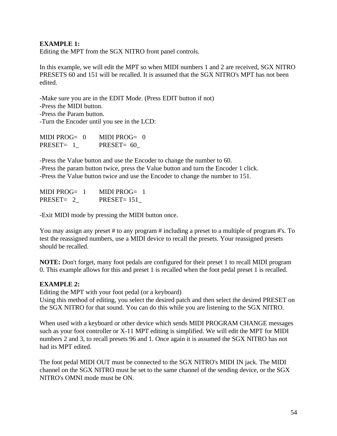### **EXAMPLE 1:**

Editing the MPT from the SGX NITRO front panel controls.

In this example, we will edit the MPT so when MIDI numbers 1 and 2 are received, SGX NITRO PRESETS 60 and 151 will be recalled. It is assumed that the SGX NITRO's MPT has not been edited.

-Make sure you are in the EDIT Mode. (Press EDIT button if not) -Press the MIDI button. -Press the Param button. -Turn the Encoder until you see in the LCD:

| MIDI PROG= $0$ | MIDI PROG $= 0$ |
|----------------|-----------------|
| PRESET= 1      | PRESET= $60$    |

-Press the Value button and use the Encoder to change the number to 60. -Press the param button twice, press the Value button and turn the Encoder 1 click. -Press the Value button twice and use the Encoder to change the number to 151.

| MIDI PROG= $1$ | MIDI PROG $=$ 1 |
|----------------|-----------------|
| $PRESET = 2$   | $PRESET = 151$  |

-Exit MIDI mode by pressing the MIDI button once.

You may assign any preset # to any program # including a preset to a multiple of program #'s. To test the reassigned numbers, use a MIDI device to recall the presets. Your reassigned presets should be recalled.

**NOTE:** Don't forget, many foot pedals are configured for their preset 1 to recall MIDI program 0. This example allows for this and preset 1 is recalled when the foot pedal preset 1 is recalled.

### **EXAMPLE 2:**

Editing the MPT with your foot pedal (or a keyboard)

Using this method of editing, you select the desired patch and then select the desired PRESET on the SGX NITRO for that sound. You can do this while you are listening to the SGX NITRO.

When used with a keyboard or other device which sends MIDI PROGRAM CHANGE messages such as your foot controller or X-11 MPT editing is simplified. We will edit the MPT for MIDI numbers 2 and 3, to recall presets 96 and 1. Once again it is assumed the SGX NITRO has not had its MPT edited.

The foot pedal MIDI OUT must be connected to the SGX NITRO's MIDI IN jack. The MIDI channel on the SGX NITRO must be set to the same channel of the sending device, or the SGX NITRO's OMNI mode must be ON.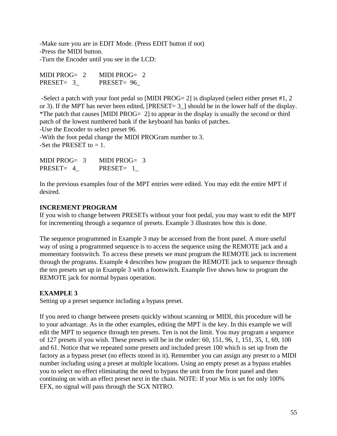-Make sure you are in EDIT Mode. (Press EDIT button if not) -Press the MIDI button. -Turn the Encoder until you see in the LCD:

| MIDI PROG $= 2$ | MIDI PROG $= 2$ |
|-----------------|-----------------|
| PRESET= 3       | PRESET= 96      |

 -Select a patch with your foot pedal so [MIDI PROG= 2] is displayed (select either preset #1, 2 or 3). If the MPT has never been edited, [PRESET= 3\_] should be in the lower half of the display. \*The patch that causes [MIDI PROG= 2] to appear in the display is usually the second or third patch of the lowest numbered bank if the keyboard has banks of patches.

-Use the Encoder to select preset 96.

-With the foot pedal change the MIDI PROGram number to 3. -Set the PRESET to  $= 1$ .

| MIDI PROG= $3$ | MIDI PROG= $3$ |
|----------------|----------------|
| PRESET= 4      | PRESET= 1      |

In the previous examples four of the MPT entries were edited. You may edit the entire MPT if desired.

### **INCREMENT PROGRAM**

If you wish to change between PRESETs without your foot pedal, you may want to edit the MPT for incrementing through a sequence of presets. Example 3 illustrates how this is done.

The sequence programmed in Example 3 may be accessed from the front panel. A more useful way of using a programmed sequence is to access the sequence using the REMOTE jack and a momentary footswitch. To access these presets we must program the REMOTE jack to increment through the programs. Example 4 describes how program the REMOTE jack to sequence through the ten presets set up in Example 3 with a footswitch. Example five shows how to program the REMOTE jack for normal bypass operation.

# **EXAMPLE 3**

Setting up a preset sequence including a bypass preset.

If you need to change between presets quickly without scanning or MIDI, this procedure will be to your advantage. As in the other examples, editing the MPT is the key. In this example we will edit the MPT to sequence through ten presets. Ten is not the limit. You may program a sequence of 127 presets if you wish. These presets will be in the order: 60, 151, 96, 1, 151, 35, 1, 69, 100 and 61. Notice that we repeated some presets and included preset 100 which is set up from the factory as a bypass preset (no effects stored in it). Remember you can assign any preset to a MIDI number including using a preset at multiple locations. Using an empty preset as a bypass enables you to select no effect eliminating the need to bypass the unit from the front panel and then continuing on with an effect preset next in the chain. NOTE: If your Mix is set for only 100% EFX, no signal will pass through the SGX NITRO.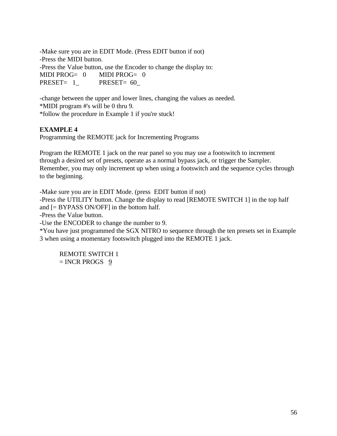-Make sure you are in EDIT Mode. (Press EDIT button if not) -Press the MIDI button. -Press the Value button, use the Encoder to change the display to: MIDI PROG= 0 MIDI PROG= 0 PRESET= 1 PRESET= 60

-change between the upper and lower lines, changing the values as needed. \*MIDI program #'s will be 0 thru 9. \*follow the procedure in Example 1 if you're stuck!

## **EXAMPLE 4**

Programming the REMOTE jack for Incrementing Programs

Program the REMOTE 1 jack on the rear panel so you may use a footswitch to increment through a desired set of presets, operate as a normal bypass jack, or trigger the Sampler. Remember, you may only increment up when using a footswitch and the sequence cycles through to the beginning.

-Make sure you are in EDIT Mode. (press EDIT button if not) -Press the UTILITY button. Change the display to read [REMOTE SWITCH 1] in the top half and [= BYPASS ON/OFF] in the bottom half. -Press the Value button. -Use the ENCODER to change the number to 9.

\*You have just programmed the SGX NITRO to sequence through the ten presets set in Example 3 when using a momentary footswitch plugged into the REMOTE 1 jack.

REMOTE SWITCH 1  $=$  INCR PROGS 9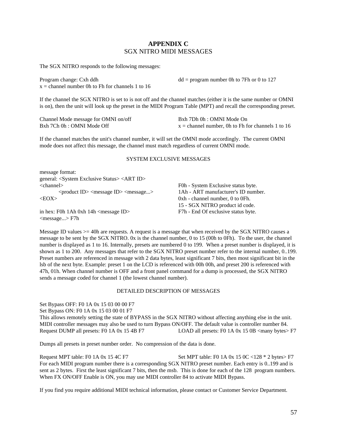#### **APPENDIX C** SGX NITRO MIDI MESSAGES

The SGX NITRO responds to the following messages:

Program change: Cxh ddh  $x =$ channel number 0h to Fh for channels 1 to 16  $dd = program$  number 0h to 7Fh or 0 to 127

If the channel the SGX NITRO is set to is not off and the channel matches (either it is the same number or OMNI is on), then the unit will look up the preset in the MIDI Program Table (MPT) and recall the corresponding preset.

Channel Mode message for OMNI on/off Bxh 7Ch 0h : OMNI Mode Off Bxh 7Dh 0h : OMNI Mode On  $x =$ channel number, 0h to Fh for channels 1 to 16

If the channel matches the unit's channel number, it will set the OMNI mode accordingly. The current OMNI mode does not affect this message, the channel must match regardless of current OMNI mode.

#### SYSTEM EXCLUSIVE MESSAGES

| message format:                                                     |                                     |
|---------------------------------------------------------------------|-------------------------------------|
| general: <system exclusive="" status=""> <art id=""></art></system> |                                     |
| $<$ channel $>$                                                     | F0h - System Exclusive status byte. |
| $<$ product ID> $<$ message ID> $<$ message>                        | 1Ah - ART manufacturer's ID number. |
| $<$ EOX $>$                                                         | $0xh$ - channel number, 0 to 0Fh.   |
|                                                                     | 15 - SGX NITRO product id code.     |
| in hex: F0h 1Ah 0xh 14h $\langle$ message ID $\rangle$              | F7h - End Of exclusive status byte. |
| $<$ message $>$ F7h                                                 |                                     |

Message ID values >= 40h are requests. A request is a message that when received by the SGX NITRO causes a message to be sent by the SGX NITRO. 0x is the channel number, 0 to 15 (00h to 0Fh). To the user, the channel number is displayed as 1 to 16. Internally, presets are numbered 0 to 199. When a preset number is displayed, it is shown as 1 to 200. Any messages that refer to the SGX NITRO preset number refer to the internal number, 0..199. Preset numbers are referenced in message with 2 data bytes, least significant 7 bits, then most significant bit in the lsb of the next byte. Example: preset 1 on the LCD is referenced with 00h 00h, and preset 200 is referenced with 47h, 01h. When channel number is OFF and a front panel command for a dump is processed, the SGX NITRO sends a message coded for channel 1 (the lowest channel number).

#### DETAILED DESCRIPTION OF MESSAGES

Set Bypass OFF: F0 1A 0x 15 03 00 00 F7

Set Bypass ON: F0 1A 0x 15 03 00 01 F7

This allows remotely setting the state of BYPASS in the SGX NITRO without affecting anything else in the unit. MIDI controller messages may also be used to turn Bypass ON/OFF. The default value is controller number 84.<br>Request DUMP all presets: F0 1A 0x 15 4B F7 LOAD all presets: F0 1A 0x 15 0B <many bytes> LOAD all presets: F0 1A 0x 15 0B  $\langle$  many bytes $>$  F7

Dumps all presets in preset number order. No compression of the data is done.

Request MPT table: F0 1A 0x 15 4C F7 Set MPT table: F0 1A 0x 15 0C <128  $*$  2 bytes F7 For each MIDI program number there is a corresponding SGX NITRO preset number. Each entry is 0..199 and is sent as 2 bytes. First the least significant 7 bits, then the msb. This is done for each of the 128 program numbers. When FX ON/OFF Enable is ON, you may use MIDI controller 84 to activate MIDI Bypass.

If you find you require additional MIDI technical information, please contact or Customer Service Department.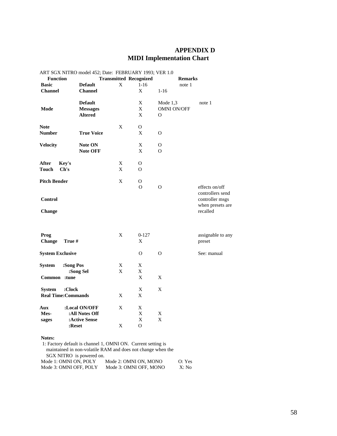# **APPENDIX D MIDI Implementation Chart**

|                         |                            | ART SGX NITRO model 452; Date: FEBRUARY 1993; VER 1.0 |             |                               |                    |                   |
|-------------------------|----------------------------|-------------------------------------------------------|-------------|-------------------------------|--------------------|-------------------|
| <b>Function</b>         |                            |                                                       |             | <b>Transmitted Recognized</b> | <b>Remarks</b>     |                   |
| <b>Basic</b>            |                            | <b>Default</b>                                        | X           | $1-16$                        | note 1             |                   |
| <b>Channel</b>          |                            | <b>Channel</b>                                        |             | X                             | $1 - 16$           |                   |
|                         |                            | <b>Default</b>                                        |             | $\mathbf X$                   | Mode $1,3$         | note 1            |
| <b>Mode</b>             |                            | <b>Messages</b>                                       |             | X                             | <b>OMNI ON/OFF</b> |                   |
|                         |                            | <b>Altered</b>                                        |             | $\boldsymbol{\mathrm{X}}$     | $\Omega$           |                   |
|                         |                            |                                                       |             |                               |                    |                   |
| <b>Note</b>             |                            |                                                       | X           | 0                             |                    |                   |
| <b>Number</b>           |                            | <b>True Voice</b>                                     |             | X                             | $\Omega$           |                   |
| <b>Velocity</b>         |                            | Note ON                                               |             | X                             | 0                  |                   |
|                         |                            | <b>Note OFF</b>                                       |             | X                             | $\Omega$           |                   |
| After                   | Key's                      |                                                       | X           | O                             |                    |                   |
| <b>Touch</b>            | Ch's                       |                                                       | X           | $\Omega$                      |                    |                   |
|                         |                            |                                                       |             |                               |                    |                   |
| <b>Pitch Bender</b>     |                            |                                                       | X           | $\mathcal{O}$                 |                    |                   |
|                         |                            |                                                       |             | $\Omega$                      | $\mathbf{O}$       | effects on/off    |
|                         |                            |                                                       |             |                               |                    | controllers send  |
| <b>Control</b>          |                            |                                                       |             |                               |                    | controller msgs   |
|                         |                            |                                                       |             |                               |                    | when presets are  |
| Change                  |                            |                                                       |             |                               |                    | recalled          |
|                         |                            |                                                       |             |                               |                    |                   |
| Prog                    |                            |                                                       | $\mathbf X$ | $0 - 127$                     |                    | assignable to any |
| Change                  | True #                     |                                                       |             | X                             |                    | preset            |
|                         |                            |                                                       |             |                               |                    |                   |
| <b>System Exclusive</b> |                            |                                                       |             | $\Omega$                      | $\Omega$           | See: manual       |
| <b>System</b>           | :Song Pos                  |                                                       | X           | X                             |                    |                   |
|                         |                            | :Song Sel                                             | X           | X                             |                    |                   |
|                         | Common :tune               |                                                       |             | $\mathbf X$                   | X                  |                   |
|                         |                            |                                                       |             |                               |                    |                   |
| <b>System</b>           | :Clock                     |                                                       |             | X                             | X                  |                   |
|                         | <b>Real Time: Commands</b> |                                                       | X           | $\boldsymbol{\mathrm{X}}$     |                    |                   |
| Aux                     |                            | :Local ON/OFF                                         | X           | X                             |                    |                   |
| Mes-                    |                            | :All Notes Off                                        |             | $\mathbf X$                   | $\mathbf X$        |                   |
| sages                   |                            | :Active Sense                                         |             | $\mathbf X$                   | $\mathbf X$        |                   |
|                         |                            |                                                       |             | $\Omega$                      |                    |                   |
|                         | :Reset                     |                                                       | X           |                               |                    |                   |

#### **Notes:**

| 1: Factory default is channel 1, OMNI ON. Current setting is |                        |        |  |  |
|--------------------------------------------------------------|------------------------|--------|--|--|
| maintained in non-volatile RAM and does not change when the  |                        |        |  |  |
| SGX NITRO is powered on.                                     |                        |        |  |  |
| Mode 1: OMNI ON, POLY                                        | Mode 2: OMNI ON, MONO  | O: Yes |  |  |
| Mode 3: OMNI OFF, POLY                                       | Mode 3: OMNI OFF, MONO | X: No  |  |  |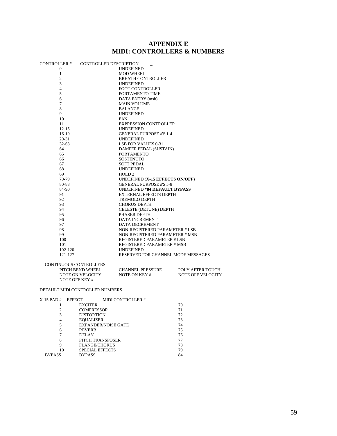# **APPENDIX E MIDI: CONTROLLERS & NUMBERS**

|               | CONTROLLER # CONTROLLER DESCRIPTION |                                     |                   |
|---------------|-------------------------------------|-------------------------------------|-------------------|
| 0             |                                     | UNDEFINED                           |                   |
| 1             |                                     | MOD WHEEL                           |                   |
| 2             |                                     | <b>BREATH CONTROLLER</b>            |                   |
| 3             |                                     | <b>UNDEFINED</b>                    |                   |
| 4             |                                     | <b>FOOT CONTROLLER</b>              |                   |
| 5             |                                     | PORTAMENTO TIME                     |                   |
| 6             |                                     | DATA ENTRY (msb)                    |                   |
| 7             |                                     | <b>MAIN VOLUME</b>                  |                   |
| 8             |                                     | <b>BALANCE</b>                      |                   |
| 9             |                                     | <b>UNDEFINED</b>                    |                   |
| 10            |                                     | PAN                                 |                   |
| 11            |                                     | <b>EXPRESSION CONTROLLER</b>        |                   |
| $12 - 15$     |                                     | <b>UNDEFINED</b>                    |                   |
| $16-19$       |                                     | <b>GENERAL PURPOSE #'S 1-4</b>      |                   |
| 20-31         |                                     | UNDEFINED                           |                   |
| $32 - 63$     |                                     | <b>LSB FOR VALUES 0-31</b>          |                   |
| 64            |                                     | DAMPER PEDAL (SUSTAIN)              |                   |
| 65            |                                     | <b>PORTAMENTO</b>                   |                   |
| 66            |                                     | <b>SOSTENUTO</b>                    |                   |
| 67            |                                     | <b>SOFT PEDAL</b>                   |                   |
| 68            |                                     | <b>UNDEFINED</b>                    |                   |
| 69            |                                     | HOLD <sub>2</sub>                   |                   |
| 70-79         |                                     | UNDEFINED (X-15 EFFECTS ON/OFF)     |                   |
| 80-83         |                                     | <b>GENERAL PURPOSE #'S 5-8</b>      |                   |
| 84-90         |                                     | <b>UNDEFINED *84 DEFAULT BYPASS</b> |                   |
| 91            |                                     | <b>EXTERNAL EFFECTS DEPTH</b>       |                   |
| 92            |                                     | TREMOLO DEPTH                       |                   |
| 93            |                                     | <b>CHORUS DEPTH</b>                 |                   |
| 94            |                                     | CELESTE (DETUNE) DEPTH              |                   |
| 95            |                                     | PHASER DEPTH                        |                   |
| 96            |                                     | DATA INCREMENT                      |                   |
| 97            |                                     | DATA DECREMENT                      |                   |
| 98            |                                     | NON-REGISTERED PARAMETER # LSB      |                   |
| 99            |                                     | NON-REGISTERED PARAMETER # MSB      |                   |
| 100           |                                     | REGISTERED PARAMETER # LSB          |                   |
| 101           |                                     | REGISTERED PARAMETER # MSB          |                   |
|               | 102-120                             | UNDEFINED                           |                   |
|               | 121-127                             | RESERVED FOR CHANNEL MODE MESSAGES  |                   |
|               |                                     |                                     |                   |
|               | <b>CONTINUOUS CONTROLLERS:</b>      |                                     |                   |
|               | PITCH BEND WHEEL                    | <b>CHANNEL PRESSURE</b>             | POLY AFTER TOUCH  |
|               | NOTE ON VELOCITY                    | NOTE ON KEY #                       | NOTE OFF VELOCITY |
|               | <b>NOTE OFF KEY#</b>                |                                     |                   |
|               |                                     |                                     |                   |
|               | DEFAULT MIDI CONTROLLER NUMBERS     |                                     |                   |
| X-15 PAD #    | <b>EFFECT</b>                       | <b>MIDI CONTROLLER#</b>             |                   |
| 1             | <b>EXCITER</b>                      |                                     | 70                |
| 2             | <b>COMPRESSOR</b>                   |                                     | 71                |
| 3             | <b>DISTORTION</b>                   |                                     | 72                |
| 4             | <b>EOUALIZER</b>                    |                                     | 73                |
| 5             | <b>EXPANDER/NOISE GATE</b>          |                                     | 74                |
| 6             | <b>REVERB</b>                       |                                     | 75                |
| 7             | DELAY                               |                                     | 76                |
| 8             | PITCH TRANSPOSER                    |                                     | 77                |
| 9             | <b>FLANGE/CHORUS</b>                |                                     | 78                |
| 10            | <b>SPECIAL EFFECTS</b>              |                                     | 79                |
| <b>BYPASS</b> | <b>BYPASS</b>                       |                                     | 84                |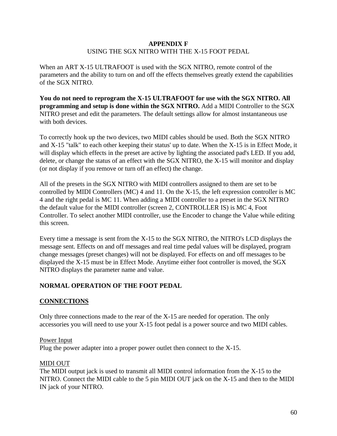### **APPENDIX F** USING THE SGX NITRO WITH THE X-15 FOOT PEDAL

When an ART X-15 ULTRAFOOT is used with the SGX NITRO, remote control of the parameters and the ability to turn on and off the effects themselves greatly extend the capabilities of the SGX NITRO.

**You do not need to reprogram the X-15 ULTRAFOOT for use with the SGX NITRO. All programming and setup is done within the SGX NITRO.** Add a MIDI Controller to the SGX NITRO preset and edit the parameters. The default settings allow for almost instantaneous use with both devices.

To correctly hook up the two devices, two MIDI cables should be used. Both the SGX NITRO and X-15 "talk" to each other keeping their status' up to date. When the X-15 is in Effect Mode, it will display which effects in the preset are active by lighting the associated pad's LED. If you add, delete, or change the status of an effect with the SGX NITRO, the X-15 will monitor and display (or not display if you remove or turn off an effect) the change.

All of the presets in the SGX NITRO with MIDI controllers assigned to them are set to be controlled by MIDI Controllers (MC) 4 and 11. On the X-15, the left expression controller is MC 4 and the right pedal is MC 11. When adding a MIDI controller to a preset in the SGX NITRO the default value for the MIDI controller (screen 2, CONTROLLER IS) is MC 4, Foot Controller. To select another MIDI controller, use the Encoder to change the Value while editing this screen.

Every time a message is sent from the X-15 to the SGX NITRO, the NITRO's LCD displays the message sent. Effects on and off messages and real time pedal values will be displayed, program change messages (preset changes) will not be displayed. For effects on and off messages to be displayed the X-15 must be in Effect Mode. Anytime either foot controller is moved, the SGX NITRO displays the parameter name and value.

### **NORMAL OPERATION OF THE FOOT PEDAL**

### **CONNECTIONS**

Only three connections made to the rear of the X-15 are needed for operation. The only accessories you will need to use your X-15 foot pedal is a power source and two MIDI cables.

### Power Input

Plug the power adapter into a proper power outlet then connect to the X-15.

#### MIDI OUT

The MIDI output jack is used to transmit all MIDI control information from the X-15 to the NITRO. Connect the MIDI cable to the 5 pin MIDI OUT jack on the X-15 and then to the MIDI IN jack of your NITRO.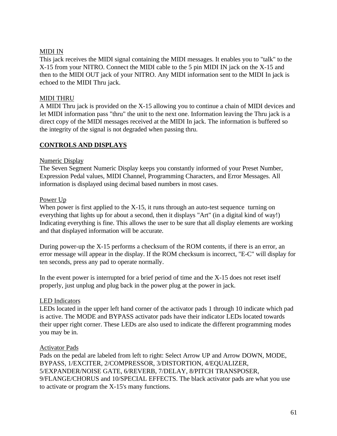### MIDI IN

This jack receives the MIDI signal containing the MIDI messages. It enables you to "talk" to the X-15 from your NITRO. Connect the MIDI cable to the 5 pin MIDI IN jack on the X-15 and then to the MIDI OUT jack of your NITRO. Any MIDI information sent to the MIDI In jack is echoed to the MIDI Thru jack.

### MIDI THRU

A MIDI Thru jack is provided on the X-15 allowing you to continue a chain of MIDI devices and let MIDI information pass "thru" the unit to the next one. Information leaving the Thru jack is a direct copy of the MIDI messages received at the MIDI In jack. The information is buffered so the integrity of the signal is not degraded when passing thru.

# **CONTROLS AND DISPLAYS**

### Numeric Display

The Seven Segment Numeric Display keeps you constantly informed of your Preset Number, Expression Pedal values, MIDI Channel, Programming Characters, and Error Messages. All information is displayed using decimal based numbers in most cases.

### Power Up

When power is first applied to the X-15, it runs through an auto-test sequence turning on everything that lights up for about a second, then it displays "Art" (in a digital kind of way!) Indicating everything is fine. This allows the user to be sure that all display elements are working and that displayed information will be accurate.

During power-up the X-15 performs a checksum of the ROM contents, if there is an error, an error message will appear in the display. If the ROM checksum is incorrect, "E-C" will display for ten seconds, press any pad to operate normally.

In the event power is interrupted for a brief period of time and the X-15 does not reset itself properly, just unplug and plug back in the power plug at the power in jack.

### LED Indicators

LEDs located in the upper left hand corner of the activator pads 1 through 10 indicate which pad is active. The MODE and BYPASS activator pads have their indicator LEDs located towards their upper right corner. These LEDs are also used to indicate the different programming modes you may be in.

#### Activator Pads

Pads on the pedal are labeled from left to right: Select Arrow UP and Arrow DOWN, MODE, BYPASS, 1/EXCITER, 2/COMPRESSOR, 3/DISTORTION, 4/EQUALIZER, 5/EXPANDER/NOISE GATE, 6/REVERB, 7/DELAY, 8/PITCH TRANSPOSER, 9/FLANGE/CHORUS and 10/SPECIAL EFFECTS. The black activator pads are what you use to activate or program the X-15's many functions.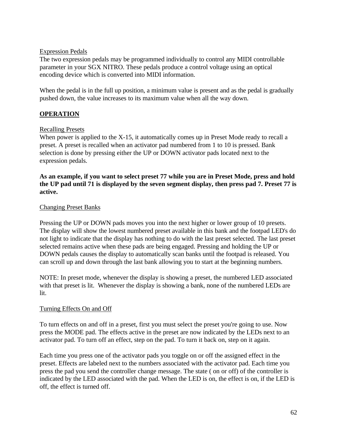### Expression Pedals

The two expression pedals may be programmed individually to control any MIDI controllable parameter in your SGX NITRO. These pedals produce a control voltage using an optical encoding device which is converted into MIDI information.

When the pedal is in the full up position, a minimum value is present and as the pedal is gradually pushed down, the value increases to its maximum value when all the way down.

# **OPERATION**

### Recalling Presets

When power is applied to the X-15, it automatically comes up in Preset Mode ready to recall a preset. A preset is recalled when an activator pad numbered from 1 to 10 is pressed. Bank selection is done by pressing either the UP or DOWN activator pads located next to the expression pedals.

### **As an example, if you want to select preset 77 while you are in Preset Mode, press and hold the UP pad until 71 is displayed by the seven segment display, then press pad 7. Preset 77 is active.**

### Changing Preset Banks

Pressing the UP or DOWN pads moves you into the next higher or lower group of 10 presets. The display will show the lowest numbered preset available in this bank and the footpad LED's do not light to indicate that the display has nothing to do with the last preset selected. The last preset selected remains active when these pads are being engaged. Pressing and holding the UP or DOWN pedals causes the display to automatically scan banks until the footpad is released. You can scroll up and down through the last bank allowing you to start at the beginning numbers.

NOTE: In preset mode, whenever the display is showing a preset, the numbered LED associated with that preset is lit. Whenever the display is showing a bank, none of the numbered LEDs are lit.

### Turning Effects On and Off

To turn effects on and off in a preset, first you must select the preset you're going to use. Now press the MODE pad. The effects active in the preset are now indicated by the LEDs next to an activator pad. To turn off an effect, step on the pad. To turn it back on, step on it again.

Each time you press one of the activator pads you toggle on or off the assigned effect in the preset. Effects are labeled next to the numbers associated with the activator pad. Each time you press the pad you send the controller change message. The state ( on or off) of the controller is indicated by the LED associated with the pad. When the LED is on, the effect is on, if the LED is off, the effect is turned off.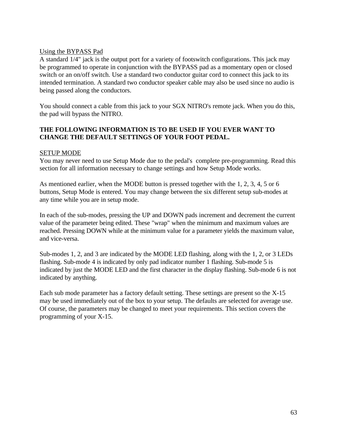### Using the BYPASS Pad

A standard 1/4" jack is the output port for a variety of footswitch configurations. This jack may be programmed to operate in conjunction with the BYPASS pad as a momentary open or closed switch or an on/off switch. Use a standard two conductor guitar cord to connect this jack to its intended termination. A standard two conductor speaker cable may also be used since no audio is being passed along the conductors.

You should connect a cable from this jack to your SGX NITRO's remote jack. When you do this, the pad will bypass the NITRO.

## **THE FOLLOWING INFORMATION IS TO BE USED IF YOU EVER WANT TO CHANGE THE DEFAULT SETTINGS OF YOUR FOOT PEDAL.**

### SETUP MODE

You may never need to use Setup Mode due to the pedal's complete pre-programming. Read this section for all information necessary to change settings and how Setup Mode works.

As mentioned earlier, when the MODE button is pressed together with the 1, 2, 3, 4, 5 or 6 buttons, Setup Mode is entered. You may change between the six different setup sub-modes at any time while you are in setup mode.

In each of the sub-modes, pressing the UP and DOWN pads increment and decrement the current value of the parameter being edited. These "wrap" when the minimum and maximum values are reached. Pressing DOWN while at the minimum value for a parameter yields the maximum value, and vice-versa.

Sub-modes 1, 2, and 3 are indicated by the MODE LED flashing, along with the 1, 2, or 3 LEDs flashing. Sub-mode 4 is indicated by only pad indicator number 1 flashing. Sub-mode 5 is indicated by just the MODE LED and the first character in the display flashing. Sub-mode 6 is not indicated by anything.

Each sub mode parameter has a factory default setting. These settings are present so the X-15 may be used immediately out of the box to your setup. The defaults are selected for average use. Of course, the parameters may be changed to meet your requirements. This section covers the programming of your X-15.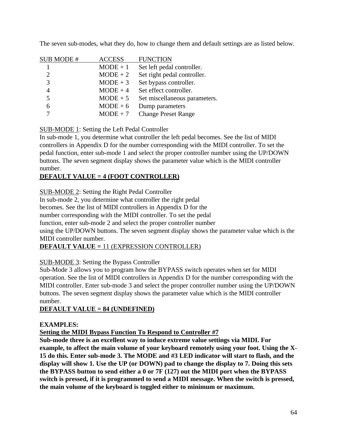| <b>SUB MODE#</b>            | <b>ACCESS</b> | <b>FUNCTION</b>               |
|-----------------------------|---------------|-------------------------------|
|                             | $MODE + 1$    | Set left pedal controller.    |
| $\mathcal{D}_{\mathcal{L}}$ | $MODE + 2$    | Set right pedal controller.   |
| 3                           | $MODE + 3$    | Set bypass controller.        |
|                             | $MODE + 4$    | Set effect controller.        |
| 5                           | $MODE + 5$    | Set miscellaneous parameters. |
| 6                           | $MODE + 6$    | Dump parameters               |
|                             | $MODE + 7$    | <b>Change Preset Range</b>    |

The seven sub-modes, what they do, how to change them and default settings are as listed below.

## **SUB-MODE 1:** Setting the Left Pedal Controller

In sub-mode 1, you determine what controller the left pedal becomes. See the list of MIDI controllers in Appendix D for the number corresponding with the MIDI controller. To set the pedal function, enter sub-mode 1 and select the proper controller number using the UP/DOWN buttons. The seven segment display shows the parameter value which is the MIDI controller number.

# **DEFAULT VALUE = 4 (FOOT CONTROLLER)**

SUB-MODE 2: Setting the Right Pedal Controller

In sub-mode 2, you determine what controller the right pedal

becomes. See the list of MIDI controllers in Appendix D for the

number corresponding with the MIDI controller. To set the pedal

function, enter sub-mode 2 and select the proper controller number

using the UP/DOWN buttons. The seven segment display shows the parameter value which is the MIDI controller number.

# **DEFAULT VALUE =** 11 (EXPRESSION CONTROLLER)

# SUB-MODE 3: Setting the Bypass Controller

Sub-Mode 3 allows you to program how the BYPASS switch operates when set for MIDI operation. See the list of MIDI controllers in Appendix D for the number corresponding with the MIDI controller. Enter sub-mode 3 and select the proper controller number using the UP/DOWN buttons. The seven segment display shows the parameter value which is the MIDI controller number.

# **DEFAULT VALUE = 84 (UNDEFINED)**

# **EXAMPLES:**

# **Setting the MIDI Bypass Function To Respond to Controller #7**

**Sub-mode three is an excellent way to induce extreme value settings via MIDI. For example, to affect the main volume of your keyboard remotely using your foot. Using the X-15 do this. Enter sub-mode 3. The MODE and #3 LED indicator will start to flash, and the display will show 1. Use the UP (or DOWN) pad to change the display to 7. Doing this sets the BYPASS button to send either a 0 or 7F (127) out the MIDI port when the BYPASS switch is pressed, if it is programmed to send a MIDI message. When the switch is pressed, the main volume of the keyboard is toggled either to minimum or maximum.**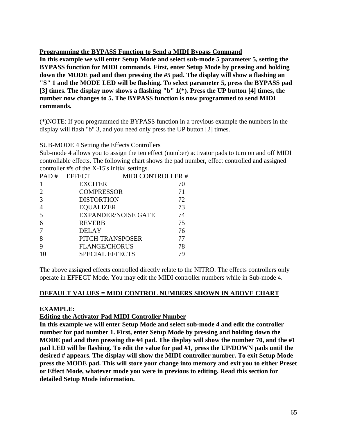## **Programming the BYPASS Function to Send a MIDI Bypass Command**

**In this example we will enter Setup Mode and select sub-mode 5 parameter 5, setting the BYPASS function for MIDI commands. First, enter Setup Mode by pressing and holding down the MODE pad and then pressing the #5 pad. The display will show a flashing an "S" 1 and the MODE LED will be flashing. To select parameter 5, press the BYPASS pad [3] times. The display now shows a flashing "b" 1(\*). Press the UP button [4] times, the number now changes to 5. The BYPASS function is now programmed to send MIDI commands.**

(\*)NOTE: If you programmed the BYPASS function in a previous example the numbers in the display will flash "b" 3, and you need only press the UP button [2] times.

### SUB-MODE 4 Setting the Effects Controllers

Sub-mode 4 allows you to assign the ten effect (number) activator pads to turn on and off MIDI controllable effects. The following chart shows the pad number, effect controlled and assigned controller #'s of the X-15's initial settings.

| PAD# | <b>EFFECT</b>     | <b>MIDI CONTROLLER#</b>    |    |
|------|-------------------|----------------------------|----|
|      | <b>EXCITER</b>    |                            | 70 |
| 2    | <b>COMPRESSOR</b> |                            | 71 |
| 3    | <b>DISTORTION</b> |                            | 72 |
| 4    | <b>EQUALIZER</b>  |                            | 73 |
| 5    |                   | <b>EXPANDER/NOISE GATE</b> | 74 |
| 6    | <b>REVERB</b>     |                            | 75 |
| -7   | <b>DELAY</b>      |                            | 76 |
| 8    |                   | PITCH TRANSPOSER           | 77 |
| 9    |                   | <b>FLANGE/CHORUS</b>       | 78 |
|      |                   | <b>SPECIAL EFFECTS</b>     | 79 |
|      |                   |                            |    |

The above assigned effects controlled directly relate to the NITRO. The effects controllers only operate in EFFECT Mode. You may edit the MIDI controller numbers while in Sub-mode 4.

### **DEFAULT VALUES = MIDI CONTROL NUMBERS SHOWN IN ABOVE CHART**

### **EXAMPLE:**

### **Editing the Activator Pad MIDI Controller Number**

**In this example we will enter Setup Mode and select sub-mode 4 and edit the controller number for pad number 1. First, enter Setup Mode by pressing and holding down the MODE pad and then pressing the #4 pad. The display will show the number 70, and the #1 pad LED will be flashing. To edit the value for pad #1, press the UP/DOWN pads until the desired # appears. The display will show the MIDI controller number. To exit Setup Mode press the MODE pad. This will store your change into memory and exit you to either Preset or Effect Mode, whatever mode you were in previous to editing. Read this section for detailed Setup Mode information.**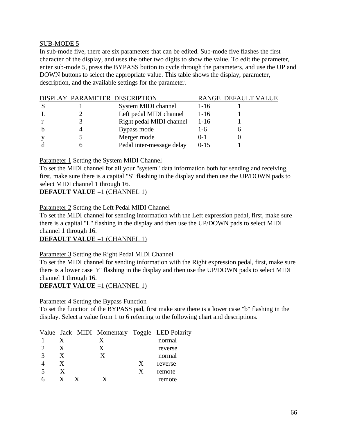### SUB-MODE 5

In sub-mode five, there are six parameters that can be edited. Sub-mode five flashes the first character of the display, and uses the other two digits to show the value. To edit the parameter, enter sub-mode 5, press the BYPASS button to cycle through the parameters, and use the UP and DOWN buttons to select the appropriate value. This table shows the display, parameter, description, and the available settings for the parameter.

|  | DISPLAY PARAMETER DESCRIPTION |           | RANGE DEFAULT VALUE |
|--|-------------------------------|-----------|---------------------|
|  | System MIDI channel           | $1 - 16$  |                     |
|  | Left pedal MIDI channel       | $1-16$    |                     |
|  | Right pedal MIDI channel      | $1-16$    |                     |
|  | Bypass mode                   | $1-6$     |                     |
|  | Merger mode                   | $() - 1$  |                     |
|  | Pedal inter-message delay     | $0 - 1.5$ |                     |

Parameter 1 Setting the System MIDI Channel

To set the MIDI channel for all your "system" data information both for sending and receiving, first, make sure there is a capital "S" flashing in the display and then use the UP/DOWN pads to select MIDI channel 1 through 16.

### **DEFAULT VALUE =**1 (CHANNEL 1)

### Parameter 2 Setting the Left Pedal MIDI Channel

To set the MIDI channel for sending information with the Left expression pedal, first, make sure there is a capital "L" flashing in the display and then use the UP/DOWN pads to select MIDI channel 1 through 16.

### **DEFAULT VALUE =**1 (CHANNEL 1)

### Parameter 3 Setting the Right Pedal MIDI Channel

To set the MIDI channel for sending information with the Right expression pedal, first, make sure there is a lower case "r" flashing in the display and then use the UP/DOWN pads to select MIDI channel 1 through 16.

# **DEFAULT VALUE =**1 (CHANNEL 1)

#### Parameter 4 Setting the Bypass Function

To set the function of the BYPASS pad, first make sure there is a lower case "b" flashing in the display. Select a value from 1 to 6 referring to the following chart and descriptions.

|              |   |   | Value Jack MIDI Momentary Toggle LED Polarity |
|--------------|---|---|-----------------------------------------------|
|              | X |   | normal                                        |
| $\mathbf{X}$ | X |   | reverse                                       |
| X            | X |   | normal                                        |
| X            |   | X | reverse                                       |
| X            |   | X | remote                                        |
|              |   |   | remote                                        |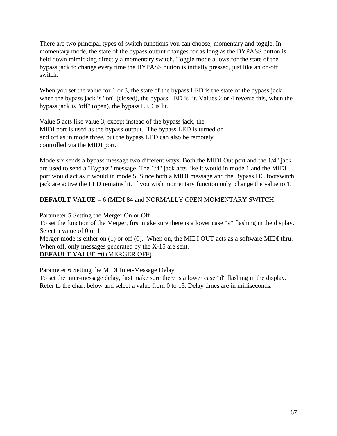There are two principal types of switch functions you can choose, momentary and toggle. In momentary mode, the state of the bypass output changes for as long as the BYPASS button is held down mimicking directly a momentary switch. Toggle mode allows for the state of the bypass jack to change every time the BYPASS button is initially pressed, just like an on/off switch.

When you set the value for 1 or 3, the state of the bypass LED is the state of the bypass jack when the bypass jack is "on" (closed), the bypass LED is lit. Values 2 or 4 reverse this, when the bypass jack is "off" (open), the bypass LED is lit.

Value 5 acts like value 3, except instead of the bypass jack, the MIDI port is used as the bypass output. The bypass LED is turned on and off as in mode three, but the bypass LED can also be remotely controlled via the MIDI port.

Mode six sends a bypass message two different ways. Both the MIDI Out port and the 1/4" jack are used to send a "Bypass" message. The 1/4" jack acts like it would in mode 1 and the MIDI port would act as it would in mode 5. Since both a MIDI message and the Bypass DC footswitch jack are active the LED remains lit. If you wish momentary function only, change the value to 1.

## **DEFAULT VALUE =** 6 (MIDI 84 and NORMALLY OPEN MOMENTARY SWITCH

Parameter 5 Setting the Merger On or Off

To set the function of the Merger, first make sure there is a lower case "y" flashing in the display. Select a value of 0 or 1

Merger mode is either on (1) or off (0). When on, the MIDI OUT acts as a software MIDI thru. When off, only messages generated by the X-15 are sent. **DEFAULT VALUE =**0 (MERGER OFF)

Parameter 6 Setting the MIDI Inter-Message Delay

To set the inter-message delay, first make sure there is a lower case "d" flashing in the display. Refer to the chart below and select a value from 0 to 15. Delay times are in milliseconds.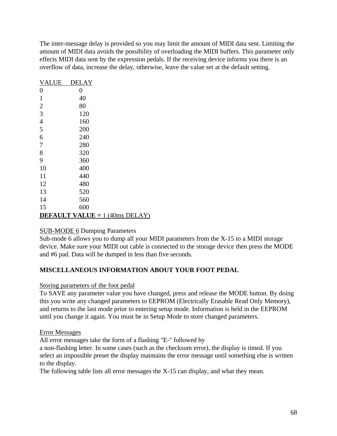The inter-message delay is provided so you may limit the amount of MIDI data sent. Limiting the amount of MIDI data avoids the possibility of overloading the MIDI buffers. This parameter only effects MIDI data sent by the expression pedals. If the receiving device informs you there is an overflow of data, increase the delay, otherwise, leave the value set at the default setting.

| <b>VALUE</b>   | <b>DELAY</b>   |                                         |
|----------------|----------------|-----------------------------------------|
| $\overline{0}$ | $\overline{0}$ |                                         |
| 1              | 40             |                                         |
| $\overline{c}$ | 80             |                                         |
| 3              | 120            |                                         |
| $\overline{4}$ | 160            |                                         |
| 5              | 200            |                                         |
| 6              | 240            |                                         |
| 7              | 280            |                                         |
| 8              | 320            |                                         |
| 9              | 360            |                                         |
| 10             | 400            |                                         |
| 11             | 440            |                                         |
| 12             | 480            |                                         |
| 13             | 520            |                                         |
| 14             | 560            |                                         |
| 15             | 600            |                                         |
|                |                | <b>DEFAULT VALUE</b> = $1$ (40ms DELAY) |

### SUB-MODE 6 Dumping Parameters

Sub-mode 6 allows you to dump all your MIDI parameters from the X-15 to a MIDI storage device. Make sure your MIDI out cable is connected to the storage device then press the MODE and #6 pad. Data will be dumped in less than five seconds.

### **MISCELLANEOUS INFORMATION ABOUT YOUR FOOT PEDAL**

#### Storing parameters of the foot pedal

To SAVE any parameter value you have changed, press and release the MODE button. By doing this you write any changed parameters to EEPROM (Electrically Erasable Read Only Memory), and returns to the last mode prior to entering setup mode. Information is held in the EEPROM until you change it again. You must be in Setup Mode to store changed parameters.

### Error Messages

All error messages take the form of a flashing "E-" followed by

a non-flashing letter. In some cases (such as the checksum error), the display is timed. If you select an impossible preset the display maintains the error message until something else is written to the display.

The following table lists all error messages the X-15 can display, and what they mean.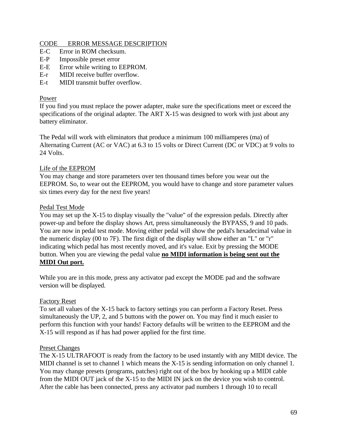### CODE ERROR MESSAGE DESCRIPTION

- E-C Error in ROM checksum.
- E-P Impossible preset error
- E-E Error while writing to EEPROM.
- E-r MIDI receive buffer overflow.
- E-t MIDI transmit buffer overflow.

### Power

If you find you must replace the power adapter, make sure the specifications meet or exceed the specifications of the original adapter. The ART X-15 was designed to work with just about any battery eliminator.

The Pedal will work with eliminators that produce a minimum 100 milliamperes (ma) of Alternating Current (AC or VAC) at 6.3 to 15 volts or Direct Current (DC or VDC) at 9 volts to 24 Volts.

### Life of the EEPROM

You may change and store parameters over ten thousand times before you wear out the EEPROM. So, to wear out the EEPROM, you would have to change and store parameter values six times every day for the next five years!

### Pedal Test Mode

You may set up the X-15 to display visually the "value" of the expression pedals. Directly after power-up and before the display shows Art, press simultaneously the BYPASS, 9 and 10 pads. You are now in pedal test mode. Moving either pedal will show the pedal's hexadecimal value in the numeric display (00 to 7F). The first digit of the display will show either an "L" or "r" indicating which pedal has most recently moved, and it's value. Exit by pressing the MODE button. When you are viewing the pedal value **no MIDI information is being sent out the MIDI Out port.**

While you are in this mode, press any activator pad except the MODE pad and the software version will be displayed.

### Factory Reset

To set all values of the X-15 back to factory settings you can perform a Factory Reset. Press simultaneously the UP, 2, and 5 buttons with the power on. You may find it much easier to perform this function with your hands! Factory defaults will be written to the EEPROM and the X-15 will respond as if has had power applied for the first time.

#### Preset Changes

The X-15 ULTRAFOOT is ready from the factory to be used instantly with any MIDI device. The MIDI channel is set to channel 1 which means the X-15 is sending information on only channel 1. You may change presets (programs, patches) right out of the box by hooking up a MIDI cable from the MIDI OUT jack of the X-15 to the MIDI IN jack on the device you wish to control. After the cable has been connected, press any activator pad numbers 1 through 10 to recall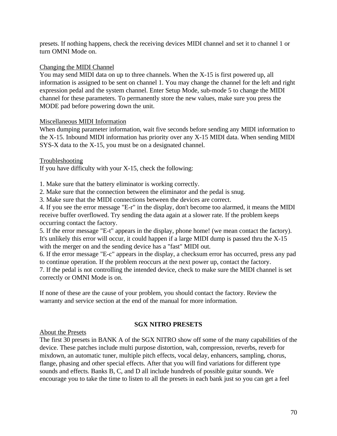presets. If nothing happens, check the receiving devices MIDI channel and set it to channel 1 or turn OMNI Mode on.

### Changing the MIDI Channel

You may send MIDI data on up to three channels. When the X-15 is first powered up, all information is assigned to be sent on channel 1. You may change the channel for the left and right expression pedal and the system channel. Enter Setup Mode, sub-mode 5 to change the MIDI channel for these parameters. To permanently store the new values, make sure you press the MODE pad before powering down the unit.

### Miscellaneous MIDI Information

When dumping parameter information, wait five seconds before sending any MIDI information to the X-15. Inbound MIDI information has priority over any X-15 MIDI data. When sending MIDI SYS-X data to the X-15, you must be on a designated channel.

### Troubleshooting

If you have difficulty with your X-15, check the following:

1. Make sure that the battery eliminator is working correctly.

2. Make sure that the connection between the eliminator and the pedal is snug.

3. Make sure that the MIDI connections between the devices are correct.

4. If you see the error message "E-r" in the display, don't become too alarmed, it means the MIDI receive buffer overflowed. Try sending the data again at a slower rate. If the problem keeps occurring contact the factory.

5. If the error message "E-t" appears in the display, phone home! (we mean contact the factory). It's unlikely this error will occur, it could happen if a large MIDI dump is passed thru the X-15 with the merger on and the sending device has a "fast" MIDI out.

6. If the error message "E-c" appears in the display, a checksum error has occurred, press any pad to continue operation. If the problem reoccurs at the next power up, contact the factory.

7. If the pedal is not controlling the intended device, check to make sure the MIDI channel is set correctly or OMNI Mode is on.

If none of these are the cause of your problem, you should contact the factory. Review the warranty and service section at the end of the manual for more information.

### **SGX NITRO PRESETS**

About the Presets

The first 30 presets in BANK A of the SGX NITRO show off some of the many capabilities of the device. These patches include multi purpose distortion, wah, compression, reverbs, reverb for mixdown, an automatic tuner, multiple pitch effects, vocal delay, enhancers, sampling, chorus, flange, phasing and other special effects. After that you will find variations for different type sounds and effects. Banks B, C, and D all include hundreds of possible guitar sounds. We encourage you to take the time to listen to all the presets in each bank just so you can get a feel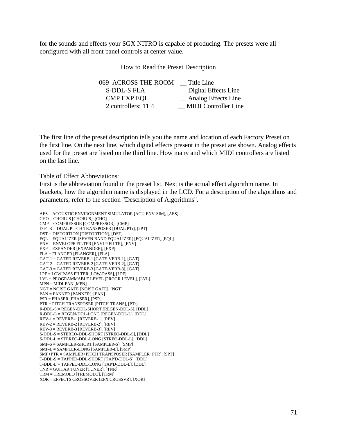for the sounds and effects your SGX NITRO is capable of producing. The presets were all configured with all front panel controls at center value.

How to Read the Preset Description

| Title Line                  |
|-----------------------------|
| Digital Effects Line        |
| Analog Effects Line         |
| <b>MIDI</b> Controller Line |
|                             |

The first line of the preset description tells you the name and location of each Factory Preset on the first line. On the next line, which digital effects present in the preset are shown. Analog effects used for the preset are listed on the third line. How many and which MIDI controllers are listed on the last line.

Table of Effect Abbreviations:

First is the abbreviation found in the preset list. Next is the actual effect algorithm name. In brackets, how the algorithm name is displayed in the LCD. For a description of the algorithms and parameters, refer to the section "Description of Algorithms".

```
AES = ACOUSTIC ENVIRONMENT SIMULATOR [ACU-ENV-SIM], [AES]
CHO = CHORUS [CHORUS], [CHO]
CMP = COMPRESSOR [COMPRESSOR], [CMP]
D-PTR = DUAL PITCH TRANSPOSER [DUAL PTr], [2PT]
DST = DISTORTION [DISTORTION], [DST]
EQL = EQUALIZER (SEVEN BAND EQUALIZER) [EQUALIZER],[EQL]
ENV = ENVELOPE FILTER [ENVLP FILTR], [ENV]
EXP = EXPANDER [EXPANDER], [EXP]
FLA = FLANGER [FLANGER], [FLA]
GAT-1 = GATED REVERB-1 [GATE-VERB-1], [GAT]
GAT-2 = GATED REVERB-2 [GATE-VERB-2], [GAT]
GAT-3 = GATED REVERB-3 [GATE-VERB-3], [GAT]
LPF = LOW PASS FILTER [LOW-PASS], [LPF]
LVL = PROGRAMMABLE LEVEL [PROGR LEVEL], [LVL]
MPN = MIDI-PAN [MPN]
NGT = NOISE GATE [NOISE GATE], [NGT]
PAN = PANNER [PANNER], [PAN]
PSR = PHASER [PHASER], [PSR]
PTR = PITCH TRANSPOSER [PITCH-TRANS], [PTr]
R-DDL-S = REGEN-DDL-SHORT [REGEN-DDL-S], [DDL]
R-DDL-L = REGEN-DDL-LONG [REGEN-DDL-L], [DDL]
REV-1 = REVERB-1 [REVERB-1], [REV]
REV-2 = REVERB-2 [REVERB-2], [REV]
REV-3 = REVERB-3 [REVERB-3], [REV]
S-DDL-S = STEREO-DDL-SHORT [STREO-DDL-S], [DDL]
S-DDL-L = STEREO-DDL-LONG [STREO-DDL-L], [DDL]
SMP-S = SAMPLER-SHORT [SAMPLER-S], [SMP]
SMP-L = SAMPLER-LONG [SAMPLER-L], [SMP]
SMP+PTR = SAMPLER+PITCH TRANSPOSER [SAMPLER+PTR], [SPT]
T-DDL-S = TAPPED-DDL-SHORT [TAP'D-DDL-S], [DDL]
T-DDL-L = TAPPED-DDL-LONG [TAP'D-DDL-L], [DDL]
TNR = GUITAR TUNER [TUNER], [TNR]
TRM = TREMOLO [TREMOLO], [TRM]
XOR = EFFECTS CROSSOVER [EFX CROSSVR], [XOR]
```